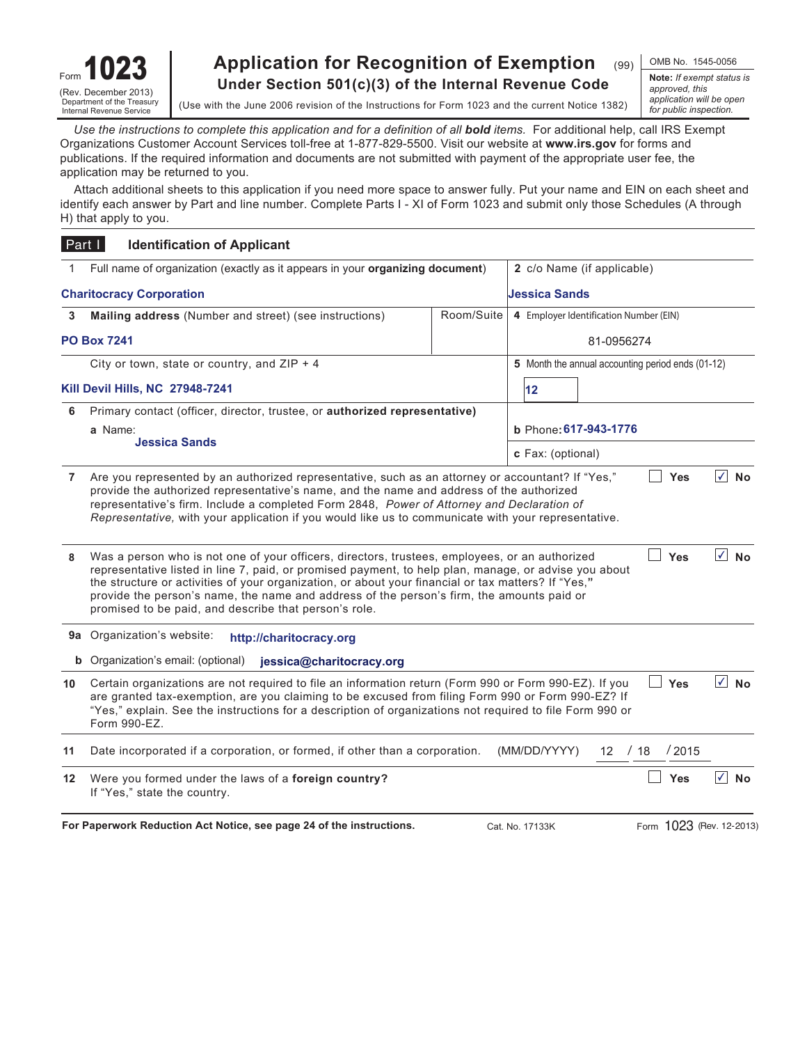

# **Application for Recognition of Exemption** (99)

**Under Section 501(c)(3) of the Internal Revenue Code**

 OMB No. 1545-0056 **Note:** *If exempt status is approved, this application will be open for public inspection.*

(Use with the June 2006 revision of the Instructions for Form 1023 and the current Notice 1382)

*Use the instructions to complete this application and for a definition of all bold items. For additional help, call IRS Exempt* Organizations Customer Account Services toll-free at 1-877-829-5500. Visit our website at **www.irs.gov** for forms and publications. If the required information and documents are not submitted with payment of the appropriate user fee, the application may be returned to you.

Attach additional sheets to this application if you need more space to answer fully. Put your name and EIN on each sheet and identify each answer by Part and line number. Complete Parts I - XI of Form 1023 and submit only those Schedules (A through H) that apply to you.

| Part I          | <b>Identification of Applicant</b>                                                                                                                                                                                                                                                                                                                                                                                                                                                                                                                                                                                                                                        |            |                                                   |            |       |                                   |
|-----------------|---------------------------------------------------------------------------------------------------------------------------------------------------------------------------------------------------------------------------------------------------------------------------------------------------------------------------------------------------------------------------------------------------------------------------------------------------------------------------------------------------------------------------------------------------------------------------------------------------------------------------------------------------------------------------|------------|---------------------------------------------------|------------|-------|-----------------------------------|
| $\mathbf{1}$    | Full name of organization (exactly as it appears in your organizing document)                                                                                                                                                                                                                                                                                                                                                                                                                                                                                                                                                                                             |            | 2 c/o Name (if applicable)                        |            |       |                                   |
|                 | <b>Charitocracy Corporation</b>                                                                                                                                                                                                                                                                                                                                                                                                                                                                                                                                                                                                                                           |            | <b>Jessica Sands</b>                              |            |       |                                   |
| 3               | Mailing address (Number and street) (see instructions)                                                                                                                                                                                                                                                                                                                                                                                                                                                                                                                                                                                                                    | Room/Suite | 4 Employer Identification Number (EIN)            |            |       |                                   |
|                 | <b>PO Box 7241</b>                                                                                                                                                                                                                                                                                                                                                                                                                                                                                                                                                                                                                                                        |            |                                                   | 81-0956274 |       |                                   |
|                 | City or town, state or country, and $ZIP + 4$                                                                                                                                                                                                                                                                                                                                                                                                                                                                                                                                                                                                                             |            | 5 Month the annual accounting period ends (01-12) |            |       |                                   |
|                 | <b>Kill Devil Hills, NC 27948-7241</b>                                                                                                                                                                                                                                                                                                                                                                                                                                                                                                                                                                                                                                    |            | 12                                                |            |       |                                   |
| 6               | Primary contact (officer, director, trustee, or authorized representative)                                                                                                                                                                                                                                                                                                                                                                                                                                                                                                                                                                                                |            |                                                   |            |       |                                   |
|                 | a Name:<br><b>Jessica Sands</b>                                                                                                                                                                                                                                                                                                                                                                                                                                                                                                                                                                                                                                           |            | <b>b</b> Phone: 617-943-1776                      |            |       |                                   |
|                 |                                                                                                                                                                                                                                                                                                                                                                                                                                                                                                                                                                                                                                                                           |            | c Fax: (optional)                                 |            |       |                                   |
| 8               | representative's firm. Include a completed Form 2848, Power of Attorney and Declaration of<br>Representative, with your application if you would like us to communicate with your representative.<br>Was a person who is not one of your officers, directors, trustees, employees, or an authorized<br>representative listed in line 7, paid, or promised payment, to help plan, manage, or advise you about<br>the structure or activities of your organization, or about your financial or tax matters? If "Yes,"<br>provide the person's name, the name and address of the person's firm, the amounts paid or<br>promised to be paid, and describe that person's role. |            |                                                   |            | Yes   | $\sqrt{}$<br><b>No</b>            |
|                 | 9a Organization's website:<br>http://charitocracy.org                                                                                                                                                                                                                                                                                                                                                                                                                                                                                                                                                                                                                     |            |                                                   |            |       |                                   |
|                 | <b>b</b> Organization's email: (optional)<br>jessica@charitocracy.org                                                                                                                                                                                                                                                                                                                                                                                                                                                                                                                                                                                                     |            |                                                   |            |       |                                   |
| 10 <sup>1</sup> | Certain organizations are not required to file an information return (Form 990 or Form 990-EZ). If you<br>are granted tax-exemption, are you claiming to be excused from filing Form 990 or Form 990-EZ? If<br>"Yes," explain. See the instructions for a description of organizations not required to file Form 990 or<br>Form 990-EZ.                                                                                                                                                                                                                                                                                                                                   |            |                                                   |            | Yes   | $\sqrt{N}$                        |
| 11              | Date incorporated if a corporation, or formed, if other than a corporation.                                                                                                                                                                                                                                                                                                                                                                                                                                                                                                                                                                                               |            | (MM/DD/YYYY)                                      | 12 / 18    | /2015 |                                   |
| 12              | Were you formed under the laws of a foreign country?<br>If "Yes," state the country.                                                                                                                                                                                                                                                                                                                                                                                                                                                                                                                                                                                      |            |                                                   |            | Yes   | $\blacktriangledown$<br><b>No</b> |
|                 | For Paperwork Reduction Act Notice, see page 24 of the instructions.                                                                                                                                                                                                                                                                                                                                                                                                                                                                                                                                                                                                      |            | Cat. No. 17133K                                   |            |       | Form 1023 (Rev. 12-2013)          |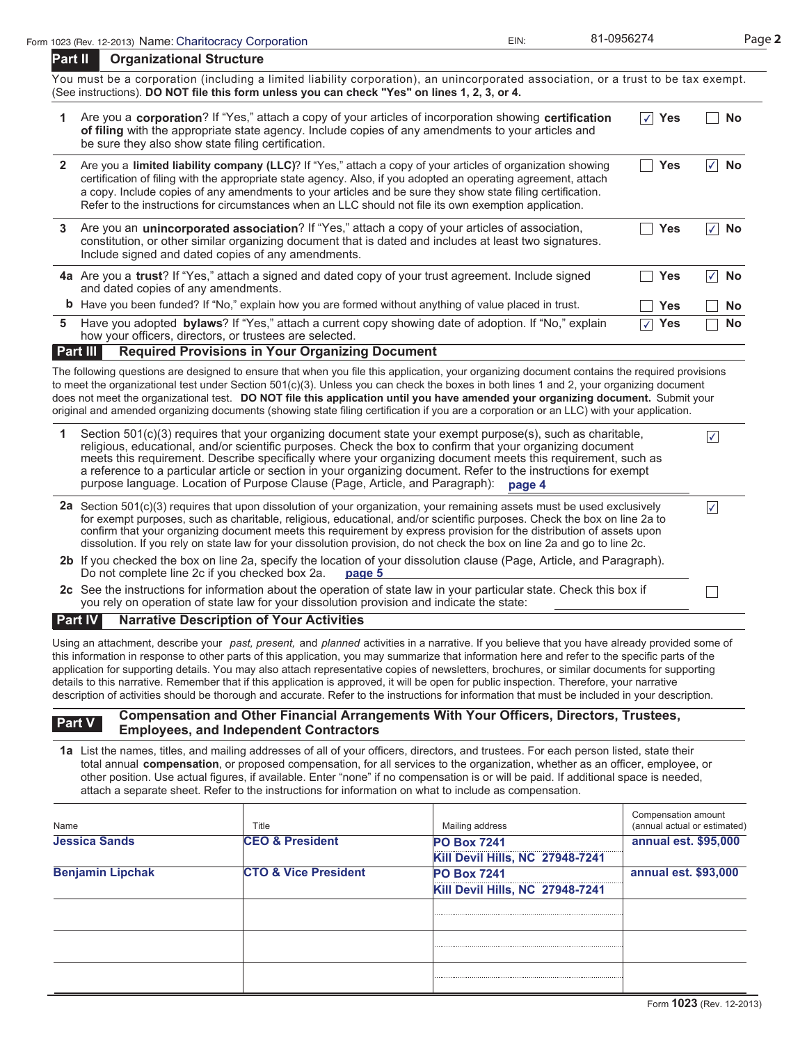|              |          | Form 1023 (Rev. 12-2013) Name: Charitocracy Corporation                                                                                                                                                                                                                                                                                                                                                                                                                                                                                                                                                                                                                                                                                            | EIN:   | 81-0956274 |                |            |                      | Page 2    |
|--------------|----------|----------------------------------------------------------------------------------------------------------------------------------------------------------------------------------------------------------------------------------------------------------------------------------------------------------------------------------------------------------------------------------------------------------------------------------------------------------------------------------------------------------------------------------------------------------------------------------------------------------------------------------------------------------------------------------------------------------------------------------------------------|--------|------------|----------------|------------|----------------------|-----------|
|              | Part II  | <b>Organizational Structure</b>                                                                                                                                                                                                                                                                                                                                                                                                                                                                                                                                                                                                                                                                                                                    |        |            |                |            |                      |           |
|              |          | You must be a corporation (including a limited liability corporation), an unincorporated association, or a trust to be tax exempt.<br>(See instructions). DO NOT file this form unless you can check "Yes" on lines 1, 2, 3, or 4.                                                                                                                                                                                                                                                                                                                                                                                                                                                                                                                 |        |            |                |            |                      |           |
| 1            |          | Are you a corporation? If "Yes," attach a copy of your articles of incorporation showing certification<br>of filing with the appropriate state agency. Include copies of any amendments to your articles and<br>be sure they also show state filing certification.                                                                                                                                                                                                                                                                                                                                                                                                                                                                                 |        |            | $\sqrt{ }$ Yes |            |                      | <b>No</b> |
| $\mathbf{2}$ |          | Are you a limited liability company (LLC)? If "Yes," attach a copy of your articles of organization showing<br>certification of filing with the appropriate state agency. Also, if you adopted an operating agreement, attach<br>a copy. Include copies of any amendments to your articles and be sure they show state filing certification.<br>Refer to the instructions for circumstances when an LLC should not file its own exemption application.                                                                                                                                                                                                                                                                                             |        |            | $\mathcal{L}$  | <b>Yes</b> | $\sqrt{2}$           | No        |
| 3            |          | Are you an unincorporated association? If "Yes," attach a copy of your articles of association,<br>constitution, or other similar organizing document that is dated and includes at least two signatures.<br>Include signed and dated copies of any amendments.                                                                                                                                                                                                                                                                                                                                                                                                                                                                                    |        |            | $\mathcal{L}$  | Yes        | $\sqrt{ }$ No        |           |
|              |          | 4a Are you a trust? If "Yes," attach a signed and dated copy of your trust agreement. Include signed<br>and dated copies of any amendments.                                                                                                                                                                                                                                                                                                                                                                                                                                                                                                                                                                                                        |        |            | $\mathcal{A}$  | Yes        | $\sqrt{ }$ No        |           |
|              |          | <b>b</b> Have you been funded? If "No," explain how you are formed without anything of value placed in trust.                                                                                                                                                                                                                                                                                                                                                                                                                                                                                                                                                                                                                                      |        |            |                | <b>Yes</b> |                      | No        |
| 5            |          | Have you adopted bylaws? If "Yes," attach a current copy showing date of adoption. If "No," explain<br>how your officers, directors, or trustees are selected.                                                                                                                                                                                                                                                                                                                                                                                                                                                                                                                                                                                     |        |            | $\sqrt{}$      | Yes        |                      | No        |
|              | Part III | <b>Required Provisions in Your Organizing Document</b>                                                                                                                                                                                                                                                                                                                                                                                                                                                                                                                                                                                                                                                                                             |        |            |                |            |                      |           |
|              |          | religious, educational, and/or scientific purposes. Check the box to confirm that your organizing document<br>meets this requirement. Describe specifically where your organizing document meets this requirement, such as<br>a reference to a particular article or section in your organizing document. Refer to the instructions for exempt<br>purpose language. Location of Purpose Clause (Page, Article, and Paragraph):                                                                                                                                                                                                                                                                                                                     | page 4 |            |                |            |                      |           |
|              |          | 2a Section 501(c)(3) requires that upon dissolution of your organization, your remaining assets must be used exclusively<br>for exempt purposes, such as charitable, religious, educational, and/or scientific purposes. Check the box on line 2a to<br>confirm that your organizing document meets this requirement by express provision for the distribution of assets upon<br>dissolution. If you rely on state law for your dissolution provision, do not check the box on line 2a and go to line 2c.                                                                                                                                                                                                                                          |        |            |                |            | $\blacktriangledown$ |           |
|              |          | 2b If you checked the box on line 2a, specify the location of your dissolution clause (Page, Article, and Paragraph).<br>Do not complete line 2c if you checked box 2a.<br>page 5                                                                                                                                                                                                                                                                                                                                                                                                                                                                                                                                                                  |        |            |                |            |                      |           |
|              |          | 2c See the instructions for information about the operation of state law in your particular state. Check this box if<br>you rely on operation of state law for your dissolution provision and indicate the state:                                                                                                                                                                                                                                                                                                                                                                                                                                                                                                                                  |        |            |                |            |                      |           |
|              |          | <b>Part IV Narrative Description of Your Activities</b>                                                                                                                                                                                                                                                                                                                                                                                                                                                                                                                                                                                                                                                                                            |        |            |                |            |                      |           |
|              |          | Using an attachment, describe your past, present, and planned activities in a narrative. If you believe that you have already provided some of<br>this information in response to other parts of this application, you may summarize that information here and refer to the specific parts of the<br>application for supporting details. You may also attach representative copies of newsletters, brochures, or similar documents for supporting<br>details to this narrative. Remember that if this application is approved, it will be open for public inspection. Therefore, your narrative<br>description of activities should be thorough and accurate. Refer to the instructions for information that must be included in your description. |        |            |                |            |                      |           |
|              |          |                                                                                                                                                                                                                                                                                                                                                                                                                                                                                                                                                                                                                                                                                                                                                    |        |            |                |            |                      |           |
|              | Part V   | Compensation and Other Financial Arrangements With Your Officers, Directors, Trustees,<br><b>Employees, and Independent Contractors</b>                                                                                                                                                                                                                                                                                                                                                                                                                                                                                                                                                                                                            |        |            |                |            |                      |           |

| Name                    | Title                           | Mailing address                 | Compensation amount<br>(annual actual or estimated) |
|-------------------------|---------------------------------|---------------------------------|-----------------------------------------------------|
| <b>Jessica Sands</b>    | <b>CEO &amp; President</b>      | <b>PO Box 7241</b>              | annual est. \$95,000                                |
|                         |                                 | Kill Devil Hills, NC 27948-7241 |                                                     |
| <b>Benjamin Lipchak</b> | <b>CTO &amp; Vice President</b> | <b>PO Box 7241</b>              | annual est. \$93,000                                |
|                         |                                 | Kill Devil Hills, NC 27948-7241 |                                                     |
|                         |                                 |                                 |                                                     |
|                         |                                 |                                 |                                                     |
|                         |                                 |                                 |                                                     |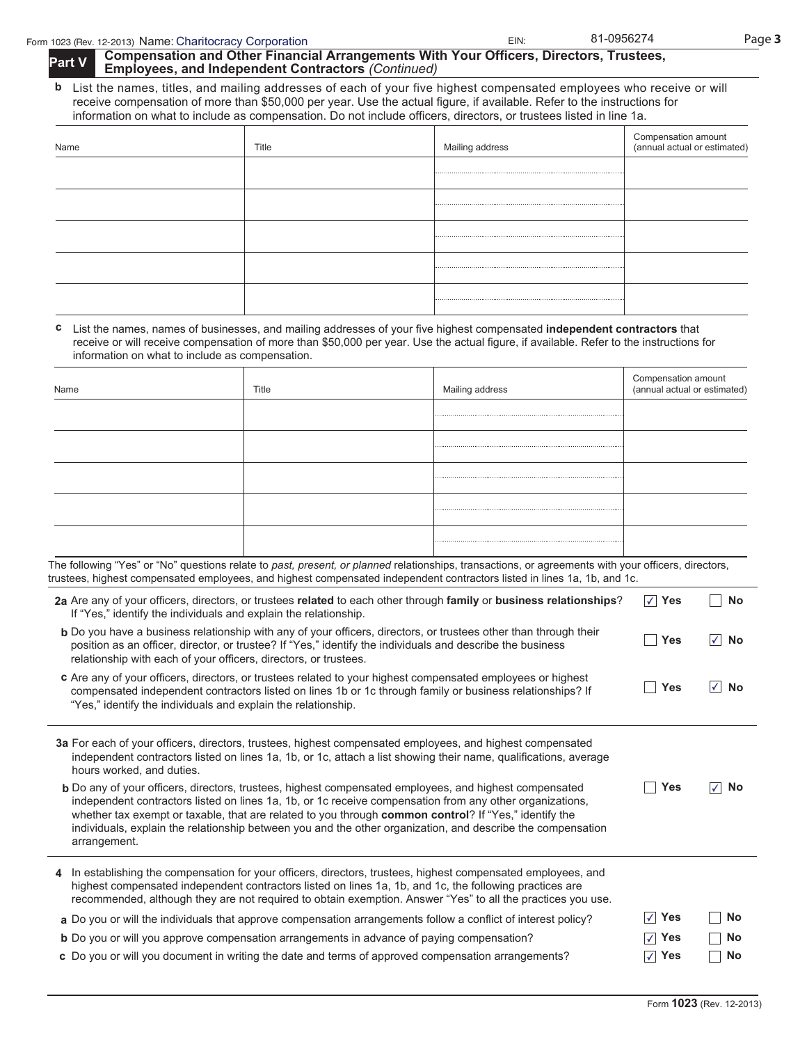| b                                               |                                                                                                  | List the names, titles, and mailing addresses of each of your five highest compensated employees who receive or will<br>receive compensation of more than \$50,000 per year. Use the actual figure, if available. Refer to the instructions for<br>information on what to include as compensation. Do not include officers, directors, or trustees listed in line 1a.                                                                             |                                                     |                             |
|-------------------------------------------------|--------------------------------------------------------------------------------------------------|---------------------------------------------------------------------------------------------------------------------------------------------------------------------------------------------------------------------------------------------------------------------------------------------------------------------------------------------------------------------------------------------------------------------------------------------------|-----------------------------------------------------|-----------------------------|
| Name                                            | Title                                                                                            | Mailing address                                                                                                                                                                                                                                                                                                                                                                                                                                   | Compensation amount<br>(annual actual or estimated) |                             |
|                                                 |                                                                                                  |                                                                                                                                                                                                                                                                                                                                                                                                                                                   |                                                     |                             |
|                                                 |                                                                                                  |                                                                                                                                                                                                                                                                                                                                                                                                                                                   |                                                     |                             |
|                                                 |                                                                                                  |                                                                                                                                                                                                                                                                                                                                                                                                                                                   |                                                     |                             |
|                                                 |                                                                                                  |                                                                                                                                                                                                                                                                                                                                                                                                                                                   |                                                     |                             |
|                                                 |                                                                                                  |                                                                                                                                                                                                                                                                                                                                                                                                                                                   |                                                     |                             |
| information on what to include as compensation. |                                                                                                  | List the names, names of businesses, and mailing addresses of your five highest compensated independent contractors that<br>receive or will receive compensation of more than \$50,000 per year. Use the actual figure, if available. Refer to the instructions for                                                                                                                                                                               |                                                     |                             |
| Name                                            | Title                                                                                            | Mailing address                                                                                                                                                                                                                                                                                                                                                                                                                                   | Compensation amount<br>(annual actual or estimated) |                             |
|                                                 |                                                                                                  |                                                                                                                                                                                                                                                                                                                                                                                                                                                   |                                                     |                             |
|                                                 |                                                                                                  |                                                                                                                                                                                                                                                                                                                                                                                                                                                   |                                                     |                             |
|                                                 |                                                                                                  |                                                                                                                                                                                                                                                                                                                                                                                                                                                   |                                                     |                             |
|                                                 |                                                                                                  |                                                                                                                                                                                                                                                                                                                                                                                                                                                   |                                                     |                             |
|                                                 |                                                                                                  |                                                                                                                                                                                                                                                                                                                                                                                                                                                   |                                                     |                             |
|                                                 |                                                                                                  | The following "Yes" or "No" questions relate to past, present, or planned relationships, transactions, or agreements with your officers, directors,<br>trustees, highest compensated employees, and highest compensated independent contractors listed in lines 1a, 1b, and 1c.                                                                                                                                                                   |                                                     |                             |
|                                                 | If "Yes," identify the individuals and explain the relationship.                                 | 2a Are any of your officers, directors, or trustees related to each other through family or business relationships?                                                                                                                                                                                                                                                                                                                               | $\sqrt{ }$ Yes                                      | No                          |
|                                                 | relationship with each of your officers, directors, or trustees.                                 | b Do you have a business relationship with any of your officers, directors, or trustees other than through their<br>position as an officer, director, or trustee? If "Yes," identify the individuals and describe the business                                                                                                                                                                                                                    | Yes                                                 | $\sqrt{ }$ No               |
|                                                 | "Yes," identify the individuals and explain the relationship.                                    | c Are any of your officers, directors, or trustees related to your highest compensated employees or highest<br>compensated independent contractors listed on lines 1b or 1c through family or business relationships? If                                                                                                                                                                                                                          | $\perp$<br>Yes                                      | $\sqrt{ }$ No               |
| hours worked, and duties.                       |                                                                                                  | 3a For each of your officers, directors, trustees, highest compensated employees, and highest compensated<br>independent contractors listed on lines 1a, 1b, or 1c, attach a list showing their name, qualifications, average                                                                                                                                                                                                                     |                                                     |                             |
| arrangement.                                    |                                                                                                  | <b>b</b> Do any of your officers, directors, trustees, highest compensated employees, and highest compensated<br>independent contractors listed on lines 1a, 1b, or 1c receive compensation from any other organizations,<br>whether tax exempt or taxable, that are related to you through common control? If "Yes," identify the<br>individuals, explain the relationship between you and the other organization, and describe the compensation | Yes<br>$\blacksquare$                               | No<br>$\vert\!\vert\!\vert$ |
|                                                 |                                                                                                  | 4 In establishing the compensation for your officers, directors, trustees, highest compensated employees, and<br>highest compensated independent contractors listed on lines 1a, 1b, and 1c, the following practices are<br>recommended, although they are not required to obtain exemption. Answer "Yes" to all the practices you use.                                                                                                           |                                                     |                             |
|                                                 |                                                                                                  | a Do you or will the individuals that approve compensation arrangements follow a conflict of interest policy?                                                                                                                                                                                                                                                                                                                                     | $\vert\downarrow\vert$<br>Yes                       | No                          |
|                                                 | <b>b</b> Do you or will you approve compensation arrangements in advance of paying compensation? | c Do you or will you document in writing the date and terms of approved compensation arrangements?                                                                                                                                                                                                                                                                                                                                                | $\sqrt{}$ Yes<br>$\sqrt{}$ Yes                      | No<br>No                    |

Form 1023 (Rev. 12-2013) Name: Charitocracy Corporation **EXACTER EIN:** B1-0956274 Page 3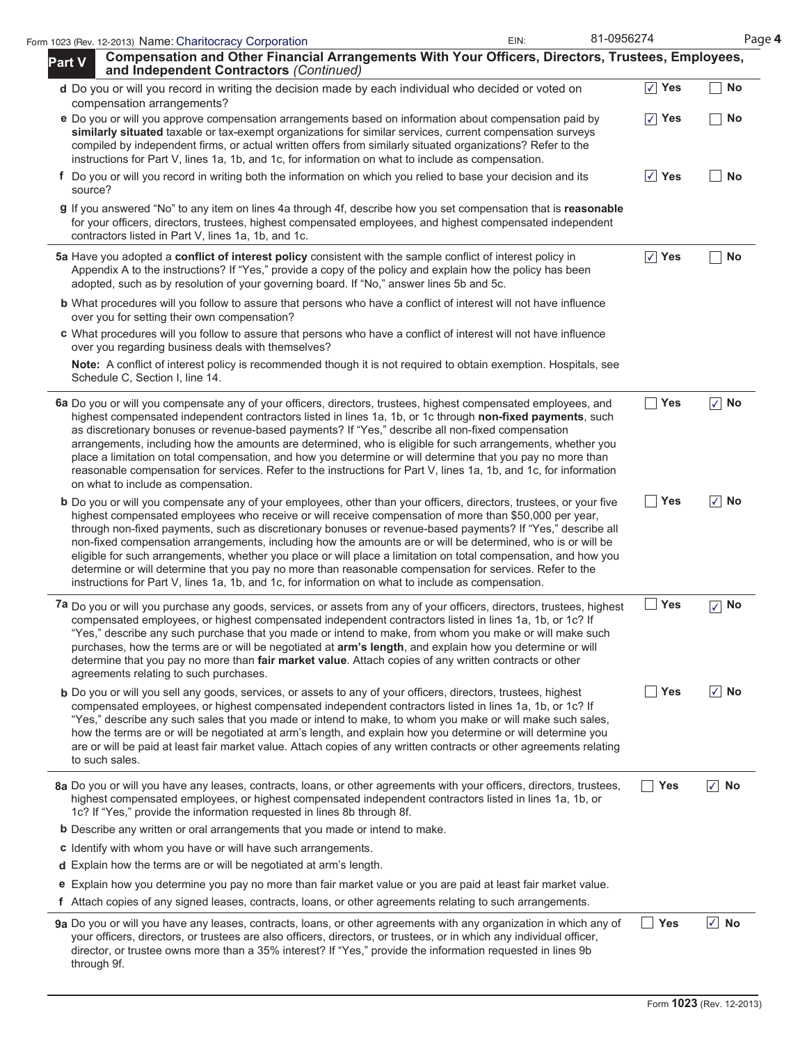|         | Form 1023 (Rev. 12-2013) Name: Charitocracy Corporation                                                                                                                                                                                                                                                                                                                                                                                                                                                                                                                                                                                                                                                                                                                                         | EIN: | 81-0956274 |                | Page 4        |
|---------|-------------------------------------------------------------------------------------------------------------------------------------------------------------------------------------------------------------------------------------------------------------------------------------------------------------------------------------------------------------------------------------------------------------------------------------------------------------------------------------------------------------------------------------------------------------------------------------------------------------------------------------------------------------------------------------------------------------------------------------------------------------------------------------------------|------|------------|----------------|---------------|
| Part V  | Compensation and Other Financial Arrangements With Your Officers, Directors, Trustees, Employees,<br>and Independent Contractors (Continued)                                                                                                                                                                                                                                                                                                                                                                                                                                                                                                                                                                                                                                                    |      |            |                |               |
|         | d Do you or will you record in writing the decision made by each individual who decided or voted on<br>compensation arrangements?                                                                                                                                                                                                                                                                                                                                                                                                                                                                                                                                                                                                                                                               |      |            | $\sqrt{ }$ Yes | No            |
|         | e Do you or will you approve compensation arrangements based on information about compensation paid by<br>similarly situated taxable or tax-exempt organizations for similar services, current compensation surveys<br>compiled by independent firms, or actual written offers from similarly situated organizations? Refer to the<br>instructions for Part V, lines 1a, 1b, and 1c, for information on what to include as compensation.                                                                                                                                                                                                                                                                                                                                                        |      |            | $\sqrt{ }$ Yes | No            |
| source? | f Do you or will you record in writing both the information on which you relied to base your decision and its                                                                                                                                                                                                                                                                                                                                                                                                                                                                                                                                                                                                                                                                                   |      |            | $\sqrt{ }$ Yes | <b>No</b>     |
|         | 9 If you answered "No" to any item on lines 4a through 4f, describe how you set compensation that is reasonable<br>for your officers, directors, trustees, highest compensated employees, and highest compensated independent<br>contractors listed in Part V, lines 1a, 1b, and 1c.                                                                                                                                                                                                                                                                                                                                                                                                                                                                                                            |      |            |                |               |
|         | 5a Have you adopted a conflict of interest policy consistent with the sample conflict of interest policy in<br>Appendix A to the instructions? If "Yes," provide a copy of the policy and explain how the policy has been<br>adopted, such as by resolution of your governing board. If "No," answer lines 5b and 5c.                                                                                                                                                                                                                                                                                                                                                                                                                                                                           |      |            | $\sqrt{ }$ Yes | No            |
|         | <b>b</b> What procedures will you follow to assure that persons who have a conflict of interest will not have influence<br>over you for setting their own compensation?                                                                                                                                                                                                                                                                                                                                                                                                                                                                                                                                                                                                                         |      |            |                |               |
|         | c What procedures will you follow to assure that persons who have a conflict of interest will not have influence<br>over you regarding business deals with themselves?                                                                                                                                                                                                                                                                                                                                                                                                                                                                                                                                                                                                                          |      |            |                |               |
|         | Note: A conflict of interest policy is recommended though it is not required to obtain exemption. Hospitals, see<br>Schedule C, Section I, line 14.                                                                                                                                                                                                                                                                                                                                                                                                                                                                                                                                                                                                                                             |      |            |                |               |
|         | 6a Do you or will you compensate any of your officers, directors, trustees, highest compensated employees, and<br>highest compensated independent contractors listed in lines 1a, 1b, or 1c through non-fixed payments, such<br>as discretionary bonuses or revenue-based payments? If "Yes," describe all non-fixed compensation<br>arrangements, including how the amounts are determined, who is eligible for such arrangements, whether you<br>place a limitation on total compensation, and how you determine or will determine that you pay no more than<br>reasonable compensation for services. Refer to the instructions for Part V, lines 1a, 1b, and 1c, for information<br>on what to include as compensation.                                                                      |      |            | $\Box$ Yes     | $\sqrt{ }$ No |
|         | b Do you or will you compensate any of your employees, other than your officers, directors, trustees, or your five<br>highest compensated employees who receive or will receive compensation of more than \$50,000 per year,<br>through non-fixed payments, such as discretionary bonuses or revenue-based payments? If "Yes," describe all<br>non-fixed compensation arrangements, including how the amounts are or will be determined, who is or will be<br>eligible for such arrangements, whether you place or will place a limitation on total compensation, and how you<br>determine or will determine that you pay no more than reasonable compensation for services. Refer to the<br>instructions for Part V, lines 1a, 1b, and 1c, for information on what to include as compensation. |      |            | <b>Yes</b>     | $\sqrt{ }$ No |
|         | 7a Do you or will you purchase any goods, services, or assets from any of your officers, directors, trustees, highest<br>compensated employees, or highest compensated independent contractors listed in lines 1a, 1b, or 1c? If<br>"Yes," describe any such purchase that you made or intend to make, from whom you make or will make such<br>purchases, how the terms are or will be negotiated at arm's length, and explain how you determine or will<br>determine that you pay no more than fair market value. Attach copies of any written contracts or other<br>agreements relating to such purchases.                                                                                                                                                                                    |      |            | <b>Yes</b>     | $\sqrt{ }$ No |
|         | <b>b</b> Do you or will you sell any goods, services, or assets to any of your officers, directors, trustees, highest<br>compensated employees, or highest compensated independent contractors listed in lines 1a, 1b, or 1c? If<br>"Yes," describe any such sales that you made or intend to make, to whom you make or will make such sales,<br>how the terms are or will be negotiated at arm's length, and explain how you determine or will determine you<br>are or will be paid at least fair market value. Attach copies of any written contracts or other agreements relating<br>to such sales.                                                                                                                                                                                          |      |            | $\Box$ Yes     | $\sqrt{ }$ No |
|         | 8a Do you or will you have any leases, contracts, loans, or other agreements with your officers, directors, trustees,<br>highest compensated employees, or highest compensated independent contractors listed in lines 1a, 1b, or<br>1c? If "Yes," provide the information requested in lines 8b through 8f.                                                                                                                                                                                                                                                                                                                                                                                                                                                                                    |      |            | Yes            | $\sqrt{ }$ No |
|         | <b>b</b> Describe any written or oral arrangements that you made or intend to make.                                                                                                                                                                                                                                                                                                                                                                                                                                                                                                                                                                                                                                                                                                             |      |            |                |               |
|         | c Identify with whom you have or will have such arrangements.                                                                                                                                                                                                                                                                                                                                                                                                                                                                                                                                                                                                                                                                                                                                   |      |            |                |               |
|         | d Explain how the terms are or will be negotiated at arm's length.                                                                                                                                                                                                                                                                                                                                                                                                                                                                                                                                                                                                                                                                                                                              |      |            |                |               |
|         | e Explain how you determine you pay no more than fair market value or you are paid at least fair market value.                                                                                                                                                                                                                                                                                                                                                                                                                                                                                                                                                                                                                                                                                  |      |            |                |               |
|         | f Attach copies of any signed leases, contracts, loans, or other agreements relating to such arrangements.                                                                                                                                                                                                                                                                                                                                                                                                                                                                                                                                                                                                                                                                                      |      |            |                |               |
|         | 9a Do you or will you have any leases, contracts, loans, or other agreements with any organization in which any of<br>your officers, directors, or trustees are also officers, directors, or trustees, or in which any individual officer,<br>director, or trustee owns more than a 35% interest? If "Yes," provide the information requested in lines 9b<br>through 9f.                                                                                                                                                                                                                                                                                                                                                                                                                        |      |            | Yes<br>$\Box$  | $\sqrt{ }$ No |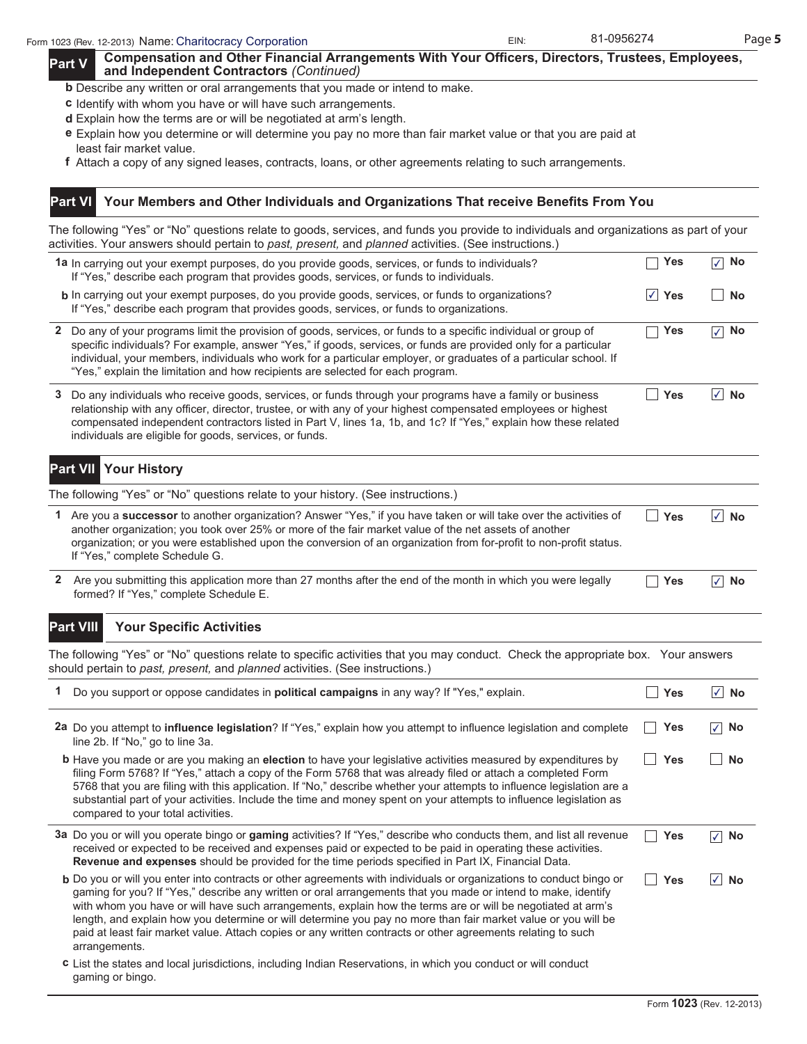|                | Form 1023 (Rev. 12-2013) Name: Charitocracy Corporation                                                                                                                                                                                                                                                                                                                                                                                                                                                                                                                                               | EIN: | 81-0956274     | Page 5                     |
|----------------|-------------------------------------------------------------------------------------------------------------------------------------------------------------------------------------------------------------------------------------------------------------------------------------------------------------------------------------------------------------------------------------------------------------------------------------------------------------------------------------------------------------------------------------------------------------------------------------------------------|------|----------------|----------------------------|
| Part V         | Compensation and Other Financial Arrangements With Your Officers, Directors, Trustees, Employees,<br>and Independent Contractors (Continued)                                                                                                                                                                                                                                                                                                                                                                                                                                                          |      |                |                            |
|                | <b>b</b> Describe any written or oral arrangements that you made or intend to make.                                                                                                                                                                                                                                                                                                                                                                                                                                                                                                                   |      |                |                            |
|                | c Identify with whom you have or will have such arrangements.                                                                                                                                                                                                                                                                                                                                                                                                                                                                                                                                         |      |                |                            |
|                | d Explain how the terms are or will be negotiated at arm's length.                                                                                                                                                                                                                                                                                                                                                                                                                                                                                                                                    |      |                |                            |
|                | e Explain how you determine or will determine you pay no more than fair market value or that you are paid at<br>least fair market value.                                                                                                                                                                                                                                                                                                                                                                                                                                                              |      |                |                            |
|                | f Attach a copy of any signed leases, contracts, loans, or other agreements relating to such arrangements.                                                                                                                                                                                                                                                                                                                                                                                                                                                                                            |      |                |                            |
| <b>Part VI</b> | Your Members and Other Individuals and Organizations That receive Benefits From You                                                                                                                                                                                                                                                                                                                                                                                                                                                                                                                   |      |                |                            |
|                | The following "Yes" or "No" questions relate to goods, services, and funds you provide to individuals and organizations as part of your<br>activities. Your answers should pertain to past, present, and planned activities. (See instructions.)                                                                                                                                                                                                                                                                                                                                                      |      |                |                            |
|                | 1a In carrying out your exempt purposes, do you provide goods, services, or funds to individuals?<br>If "Yes," describe each program that provides goods, services, or funds to individuals.                                                                                                                                                                                                                                                                                                                                                                                                          |      | Yes            | $\sqrt{ }$ No              |
|                | b In carrying out your exempt purposes, do you provide goods, services, or funds to organizations?<br>If "Yes," describe each program that provides goods, services, or funds to organizations.                                                                                                                                                                                                                                                                                                                                                                                                       |      | $\sqrt{ }$ Yes | $\mathcal{L}$<br><b>No</b> |
|                | 2 Do any of your programs limit the provision of goods, services, or funds to a specific individual or group of<br>specific individuals? For example, answer "Yes," if goods, services, or funds are provided only for a particular<br>individual, your members, individuals who work for a particular employer, or graduates of a particular school. If<br>"Yes," explain the limitation and how recipients are selected for each program.                                                                                                                                                           |      | Yes            | $\sqrt{ }$ No              |
| 3              | Do any individuals who receive goods, services, or funds through your programs have a family or business<br>relationship with any officer, director, trustee, or with any of your highest compensated employees or highest<br>compensated independent contractors listed in Part V, lines 1a, 1b, and 1c? If "Yes," explain how these related<br>individuals are eligible for goods, services, or funds.                                                                                                                                                                                              |      | Yes            | $\sqrt{ }$ No              |
|                | <b>Part VII</b> Your History                                                                                                                                                                                                                                                                                                                                                                                                                                                                                                                                                                          |      |                |                            |
|                | The following "Yes" or "No" questions relate to your history. (See instructions.)                                                                                                                                                                                                                                                                                                                                                                                                                                                                                                                     |      |                |                            |
| 1.             | Are you a successor to another organization? Answer "Yes," if you have taken or will take over the activities of<br>another organization; you took over 25% or more of the fair market value of the net assets of another<br>organization; or you were established upon the conversion of an organization from for-profit to non-profit status.<br>If "Yes," complete Schedule G.                                                                                                                                                                                                                     |      | Yes            | $\sqrt{ }$ No              |
| $\mathbf{2}$   | Are you submitting this application more than 27 months after the end of the month in which you were legally<br>formed? If "Yes," complete Schedule E.                                                                                                                                                                                                                                                                                                                                                                                                                                                |      | Yes            | $\sqrt{ }$ No              |
| Part VIII      | <b>Your Specific Activities</b>                                                                                                                                                                                                                                                                                                                                                                                                                                                                                                                                                                       |      |                |                            |
|                | The following "Yes" or "No" questions relate to specific activities that you may conduct. Check the appropriate box. Your answers<br>should pertain to past, present, and planned activities. (See instructions.)                                                                                                                                                                                                                                                                                                                                                                                     |      |                |                            |
| 1              | Do you support or oppose candidates in political campaigns in any way? If "Yes," explain.                                                                                                                                                                                                                                                                                                                                                                                                                                                                                                             |      | $\Box$ Yes     | $\sqrt{ }$ No              |
|                | 2a Do you attempt to influence legislation? If "Yes," explain how you attempt to influence legislation and complete<br>line 2b. If "No," go to line 3a.                                                                                                                                                                                                                                                                                                                                                                                                                                               |      | Yes            | No<br>$\sqrt{ }$           |
|                | b Have you made or are you making an election to have your legislative activities measured by expenditures by<br>filing Form 5768? If "Yes," attach a copy of the Form 5768 that was already filed or attach a completed Form<br>5768 that you are filing with this application. If "No," describe whether your attempts to influence legislation are a<br>substantial part of your activities. Include the time and money spent on your attempts to influence legislation as<br>compared to your total activities.                                                                                   |      | <b>Yes</b>     | $\mathbf{I}$<br>No         |
|                | 3a Do you or will you operate bingo or gaming activities? If "Yes," describe who conducts them, and list all revenue<br>received or expected to be received and expenses paid or expected to be paid in operating these activities.<br>Revenue and expenses should be provided for the time periods specified in Part IX, Financial Data.                                                                                                                                                                                                                                                             |      | Yes            | $\sqrt{ }$ No              |
|                | b Do you or will you enter into contracts or other agreements with individuals or organizations to conduct bingo or<br>gaming for you? If "Yes," describe any written or oral arrangements that you made or intend to make, identify<br>with whom you have or will have such arrangements, explain how the terms are or will be negotiated at arm's<br>length, and explain how you determine or will determine you pay no more than fair market value or you will be<br>paid at least fair market value. Attach copies or any written contracts or other agreements relating to such<br>arrangements. |      | <b>Yes</b>     | $\sqrt{ }$ No              |
|                | c List the states and local jurisdictions, including Indian Reservations, in which you conduct or will conduct<br>gaming or bingo.                                                                                                                                                                                                                                                                                                                                                                                                                                                                    |      |                |                            |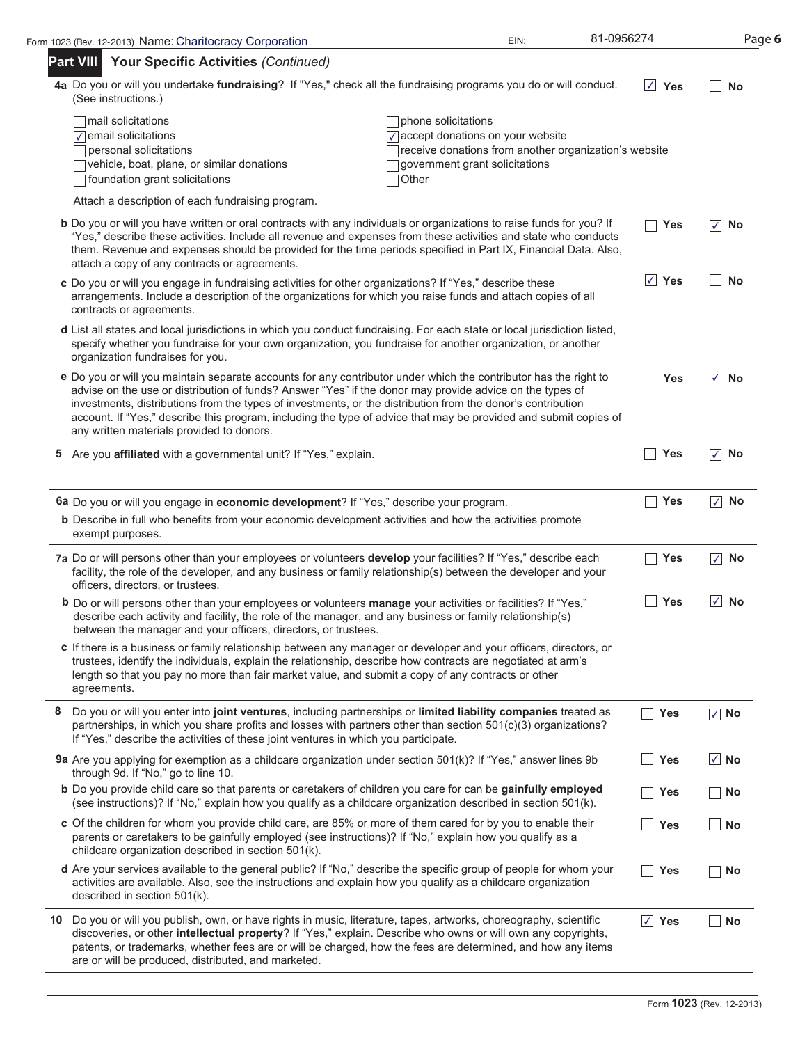| Form 1023 (Rev. 12-2013) Name: Charitocracy Corporation                                                                                                                                                                                                                                                                                                                                                                                                                                                      | EIN:                                                                                                                                                        | 81-0956274         | Page 6            |
|--------------------------------------------------------------------------------------------------------------------------------------------------------------------------------------------------------------------------------------------------------------------------------------------------------------------------------------------------------------------------------------------------------------------------------------------------------------------------------------------------------------|-------------------------------------------------------------------------------------------------------------------------------------------------------------|--------------------|-------------------|
| <b>Part VIII</b><br><b>Your Specific Activities (Continued)</b>                                                                                                                                                                                                                                                                                                                                                                                                                                              |                                                                                                                                                             |                    |                   |
| 4a Do you or will you undertake fundraising? If "Yes," check all the fundraising programs you do or will conduct.<br>(See instructions.)                                                                                                                                                                                                                                                                                                                                                                     |                                                                                                                                                             | $  \sqrt{ }  $ Yes | <b>No</b>         |
| mail solicitations<br>email solicitations<br>personal solicitations<br>vehicle, boat, plane, or similar donations<br>foundation grant solicitations                                                                                                                                                                                                                                                                                                                                                          | phone solicitations<br>accept donations on your website<br>receive donations from another organization's website<br>government grant solicitations<br>Other |                    |                   |
| Attach a description of each fundraising program.                                                                                                                                                                                                                                                                                                                                                                                                                                                            |                                                                                                                                                             |                    |                   |
| <b>b</b> Do you or will you have written or oral contracts with any individuals or organizations to raise funds for you? If<br>"Yes," describe these activities. Include all revenue and expenses from these activities and state who conducts<br>them. Revenue and expenses should be provided for the time periods specified in Part IX, Financial Data. Also,<br>attach a copy of any contracts or agreements.                                                                                            |                                                                                                                                                             | <b>Yes</b>         | √ No              |
| c Do you or will you engage in fundraising activities for other organizations? If "Yes," describe these<br>arrangements. Include a description of the organizations for which you raise funds and attach copies of all<br>contracts or agreements.                                                                                                                                                                                                                                                           |                                                                                                                                                             | $\sqrt{ }$ Yes     | <b>No</b>         |
| d List all states and local jurisdictions in which you conduct fundraising. For each state or local jurisdiction listed,<br>specify whether you fundraise for your own organization, you fundraise for another organization, or another<br>organization fundraises for you.                                                                                                                                                                                                                                  |                                                                                                                                                             |                    |                   |
| e Do you or will you maintain separate accounts for any contributor under which the contributor has the right to<br>advise on the use or distribution of funds? Answer "Yes" if the donor may provide advice on the types of<br>investments, distributions from the types of investments, or the distribution from the donor's contribution<br>account. If "Yes," describe this program, including the type of advice that may be provided and submit copies of<br>any written materials provided to donors. |                                                                                                                                                             | Yes                | $\sqrt{ }$ No     |
| 5 Are you affiliated with a governmental unit? If "Yes," explain.                                                                                                                                                                                                                                                                                                                                                                                                                                            |                                                                                                                                                             | Yes                | √ No              |
| 6a Do you or will you engage in economic development? If "Yes," describe your program.<br>b Describe in full who benefits from your economic development activities and how the activities promote<br>exempt purposes.                                                                                                                                                                                                                                                                                       |                                                                                                                                                             | <b>Yes</b>         | $\sqrt{ }$ No     |
| 7a Do or will persons other than your employees or volunteers develop your facilities? If "Yes," describe each<br>facility, the role of the developer, and any business or family relationship(s) between the developer and your<br>officers, directors, or trustees.                                                                                                                                                                                                                                        |                                                                                                                                                             | <b>Yes</b>         | $\sqrt{ }$ No     |
| b Do or will persons other than your employees or volunteers manage your activities or facilities? If "Yes,"<br>describe each activity and facility, the role of the manager, and any business or family relationship(s)<br>between the manager and your officers, directors, or trustees.                                                                                                                                                                                                                   |                                                                                                                                                             | Yes                | $\sqrt{ }$ No     |
| c If there is a business or family relationship between any manager or developer and your officers, directors, or<br>trustees, identify the individuals, explain the relationship, describe how contracts are negotiated at arm's<br>length so that you pay no more than fair market value, and submit a copy of any contracts or other<br>agreements.                                                                                                                                                       |                                                                                                                                                             |                    |                   |
| Do you or will you enter into joint ventures, including partnerships or limited liability companies treated as<br>partnerships, in which you share profits and losses with partners other than section 501(c)(3) organizations?<br>If "Yes," describe the activities of these joint ventures in which you participate.                                                                                                                                                                                       |                                                                                                                                                             | Yes<br>$\Box$      | $\sqrt{ }$ No     |
| 9a Are you applying for exemption as a childcare organization under section 501(k)? If "Yes," answer lines 9b<br>through 9d. If "No," go to line 10.                                                                                                                                                                                                                                                                                                                                                         |                                                                                                                                                             | $\Box$ Yes         | $\sqrt{ }$ No     |
| b Do you provide child care so that parents or caretakers of children you care for can be gainfully employed<br>(see instructions)? If "No," explain how you qualify as a childcare organization described in section 501(k).                                                                                                                                                                                                                                                                                |                                                                                                                                                             | Yes                | ∣ No              |
| c Of the children for whom you provide child care, are 85% or more of them cared for by you to enable their<br>parents or caretakers to be gainfully employed (see instructions)? If "No," explain how you qualify as a<br>childcare organization described in section 501(k).                                                                                                                                                                                                                               |                                                                                                                                                             | $\Box$<br>Yes      | $\blacksquare$ No |
| d Are your services available to the general public? If "No," describe the specific group of people for whom your<br>activities are available. Also, see the instructions and explain how you qualify as a childcare organization<br>described in section 501(k).                                                                                                                                                                                                                                            |                                                                                                                                                             | Yes                | ∏ No              |
| 10 Do you or will you publish, own, or have rights in music, literature, tapes, artworks, choreography, scientific<br>discoveries, or other intellectual property? If "Yes," explain. Describe who owns or will own any copyrights,<br>patents, or trademarks, whether fees are or will be charged, how the fees are determined, and how any items<br>are or will be produced, distributed, and marketed.                                                                                                    |                                                                                                                                                             | $\sqrt{ }$ Yes     | $\Box$ No         |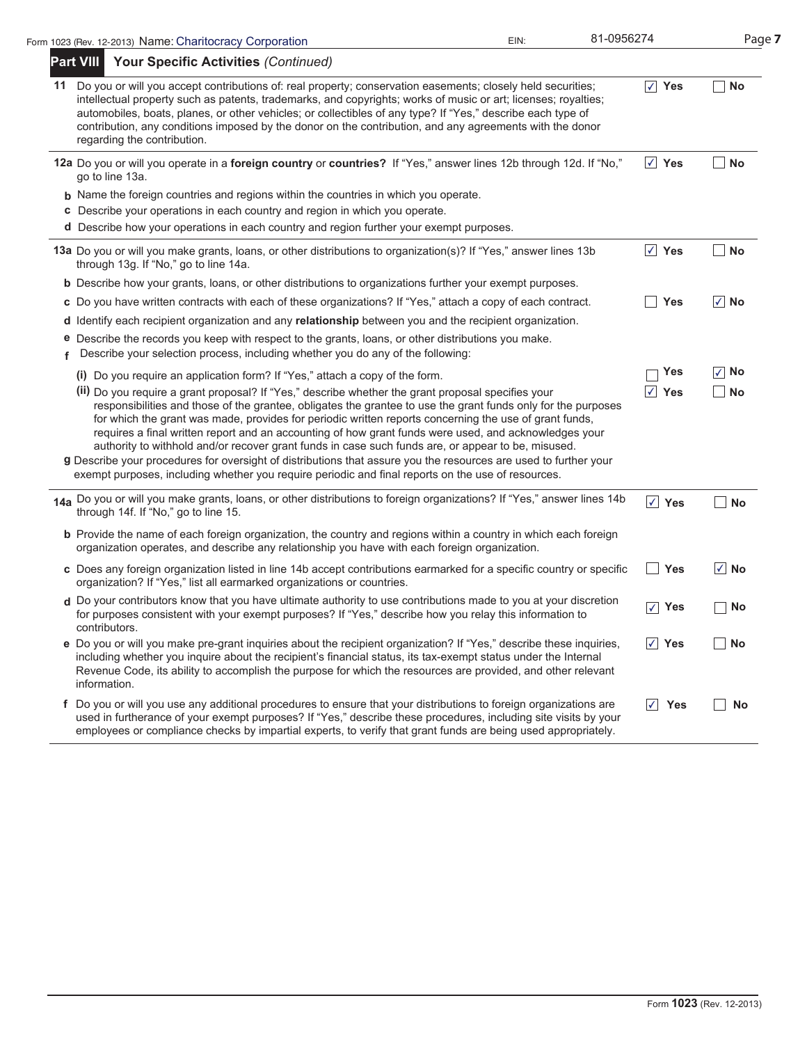|    | Form 1023 (Rev. 12-2013) Name: Charitocracy Corporation                                                                                                                                                                                                                                                                                                                                                                                                                                                                                                                                                                                                                                                                                                                | EIN: | 81-0956274 |                | Page 7        |
|----|------------------------------------------------------------------------------------------------------------------------------------------------------------------------------------------------------------------------------------------------------------------------------------------------------------------------------------------------------------------------------------------------------------------------------------------------------------------------------------------------------------------------------------------------------------------------------------------------------------------------------------------------------------------------------------------------------------------------------------------------------------------------|------|------------|----------------|---------------|
|    | <b>Part VIII</b><br><b>Your Specific Activities (Continued)</b>                                                                                                                                                                                                                                                                                                                                                                                                                                                                                                                                                                                                                                                                                                        |      |            |                |               |
| 11 | Do you or will you accept contributions of: real property; conservation easements; closely held securities;<br>intellectual property such as patents, trademarks, and copyrights; works of music or art; licenses; royalties;<br>automobiles, boats, planes, or other vehicles; or collectibles of any type? If "Yes," describe each type of<br>contribution, any conditions imposed by the donor on the contribution, and any agreements with the donor<br>regarding the contribution.                                                                                                                                                                                                                                                                                |      |            | $\sqrt{ }$ Yes | No            |
|    | 12a Do you or will you operate in a foreign country or countries? If "Yes," answer lines 12b through 12d. If "No,"<br>go to line 13a.                                                                                                                                                                                                                                                                                                                                                                                                                                                                                                                                                                                                                                  |      |            | $\sqrt{ }$ Yes | <b>No</b>     |
|    | <b>b</b> Name the foreign countries and regions within the countries in which you operate.                                                                                                                                                                                                                                                                                                                                                                                                                                                                                                                                                                                                                                                                             |      |            |                |               |
|    | c Describe your operations in each country and region in which you operate.                                                                                                                                                                                                                                                                                                                                                                                                                                                                                                                                                                                                                                                                                            |      |            |                |               |
|    | d Describe how your operations in each country and region further your exempt purposes.                                                                                                                                                                                                                                                                                                                                                                                                                                                                                                                                                                                                                                                                                |      |            |                |               |
|    | 13a Do you or will you make grants, loans, or other distributions to organization(s)? If "Yes," answer lines 13b<br>through 13g. If "No," go to line 14a.                                                                                                                                                                                                                                                                                                                                                                                                                                                                                                                                                                                                              |      |            | $\sqrt{ }$ Yes | <b>No</b>     |
|    | <b>b</b> Describe how your grants, loans, or other distributions to organizations further your exempt purposes.                                                                                                                                                                                                                                                                                                                                                                                                                                                                                                                                                                                                                                                        |      |            |                |               |
|    | c Do you have written contracts with each of these organizations? If "Yes," attach a copy of each contract.                                                                                                                                                                                                                                                                                                                                                                                                                                                                                                                                                                                                                                                            |      |            | Yes            | $\sqrt{ }$ No |
|    | d Identify each recipient organization and any relationship between you and the recipient organization.                                                                                                                                                                                                                                                                                                                                                                                                                                                                                                                                                                                                                                                                |      |            |                |               |
| e  | Describe the records you keep with respect to the grants, loans, or other distributions you make.                                                                                                                                                                                                                                                                                                                                                                                                                                                                                                                                                                                                                                                                      |      |            |                |               |
|    | Describe your selection process, including whether you do any of the following:                                                                                                                                                                                                                                                                                                                                                                                                                                                                                                                                                                                                                                                                                        |      |            |                |               |
|    | (i) Do you require an application form? If "Yes," attach a copy of the form.                                                                                                                                                                                                                                                                                                                                                                                                                                                                                                                                                                                                                                                                                           |      |            | Yes            | $\sqrt{ }$ No |
|    | (ii) Do you require a grant proposal? If "Yes," describe whether the grant proposal specifies your<br>responsibilities and those of the grantee, obligates the grantee to use the grant funds only for the purposes<br>for which the grant was made, provides for periodic written reports concerning the use of grant funds,<br>requires a final written report and an accounting of how grant funds were used, and acknowledges your<br>authority to withhold and/or recover grant funds in case such funds are, or appear to be, misused.<br>g Describe your procedures for oversight of distributions that assure you the resources are used to further your<br>exempt purposes, including whether you require periodic and final reports on the use of resources. |      |            | $\sqrt{ }$ Yes | $\Box$ No     |
|    | 14a Do you or will you make grants, loans, or other distributions to foreign organizations? If "Yes," answer lines 14b<br>through 14f. If "No," go to line 15.                                                                                                                                                                                                                                                                                                                                                                                                                                                                                                                                                                                                         |      |            | $\sqrt{ }$ Yes | $\Box$ No     |
|    | <b>b</b> Provide the name of each foreign organization, the country and regions within a country in which each foreign<br>organization operates, and describe any relationship you have with each foreign organization.                                                                                                                                                                                                                                                                                                                                                                                                                                                                                                                                                |      |            |                |               |
|    | c Does any foreign organization listed in line 14b accept contributions earmarked for a specific country or specific<br>organization? If "Yes," list all earmarked organizations or countries.                                                                                                                                                                                                                                                                                                                                                                                                                                                                                                                                                                         |      |            | Yes            | $\sqrt{ }$ No |
|    | d Do your contributors know that you have ultimate authority to use contributions made to you at your discretion<br>for purposes consistent with your exempt purposes? If "Yes," describe how you relay this information to<br>contributors.                                                                                                                                                                                                                                                                                                                                                                                                                                                                                                                           |      |            | $\sqrt{ }$ Yes | ∃ No          |
|    | e Do you or will you make pre-grant inquiries about the recipient organization? If "Yes," describe these inquiries,<br>including whether you inquire about the recipient's financial status, its tax-exempt status under the Internal<br>Revenue Code, its ability to accomplish the purpose for which the resources are provided, and other relevant<br>information.                                                                                                                                                                                                                                                                                                                                                                                                  |      |            | $\sqrt{ }$ Yes | <b>No</b>     |
|    | f Do you or will you use any additional procedures to ensure that your distributions to foreign organizations are<br>used in furtherance of your exempt purposes? If "Yes," describe these procedures, including site visits by your<br>employees or compliance checks by impartial experts, to verify that grant funds are being used appropriately.                                                                                                                                                                                                                                                                                                                                                                                                                  |      |            | $\sqrt{ }$ Yes | No            |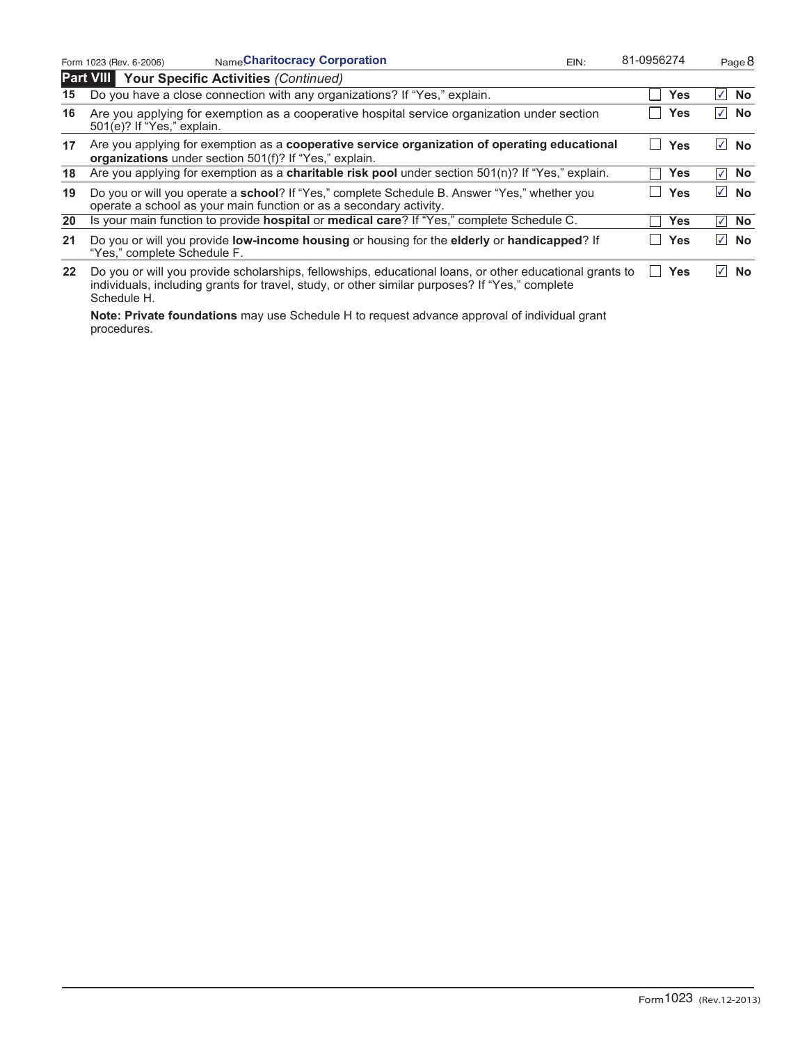|         | Form 1023 (Rev. 6-2006)     | NameCharitocracy Corporation                                                                                                                                                                              | EIN: | 81-0956274 | Page 8                            |
|---------|-----------------------------|-----------------------------------------------------------------------------------------------------------------------------------------------------------------------------------------------------------|------|------------|-----------------------------------|
|         |                             | <b>Part VIII</b> Your Specific Activities (Continued)                                                                                                                                                     |      |            |                                   |
| 15      |                             | Do you have a close connection with any organizations? If "Yes," explain.                                                                                                                                 |      | Yes        | No<br>$\sqrt{}$                   |
| 16      | 501(e)? If "Yes," explain.  | Are you applying for exemption as a cooperative hospital service organization under section                                                                                                               |      | Yes        | $\sqrt{ }$ No                     |
| 17      |                             | Are you applying for exemption as a <b>cooperative service organization of operating educational</b><br>organizations under section 501(f)? If "Yes," explain.                                            |      | <b>Yes</b> | $\vert \sqrt{\vert}$<br><b>No</b> |
| 18      |                             | Are you applying for exemption as a <b>charitable risk pool</b> under section $501(n)$ ? If "Yes," explain.                                                                                               |      | Yes        | $\sqrt{ }$ No                     |
| 19      |                             | Do you or will you operate a school? If "Yes," complete Schedule B. Answer "Yes," whether you<br>operate a school as your main function or as a secondary activity.                                       |      | <b>Yes</b> | $\sqrt{ }$ No                     |
| 20      |                             | Is your main function to provide <b>hospital</b> or <b>medical care</b> ? If "Yes," complete Schedule C.                                                                                                  |      | Yes        | $\sqrt{ }$ No                     |
| 21      | "Yes." complete Schedule F. | Do you or will you provide low-income housing or housing for the elderly or handicapped? If                                                                                                               |      | <b>Yes</b> | $\sqrt{ }$ No                     |
| $22 \,$ | Schedule H.                 | Do you or will you provide scholarships, fellowships, educational loans, or other educational grants to<br>individuals, including grants for travel, study, or other similar purposes? If "Yes," complete |      | <b>Yes</b> | $\sqrt{}$<br><b>No</b>            |

**Note: Private foundations** may use Schedule H to request advance approval of individual grant procedures.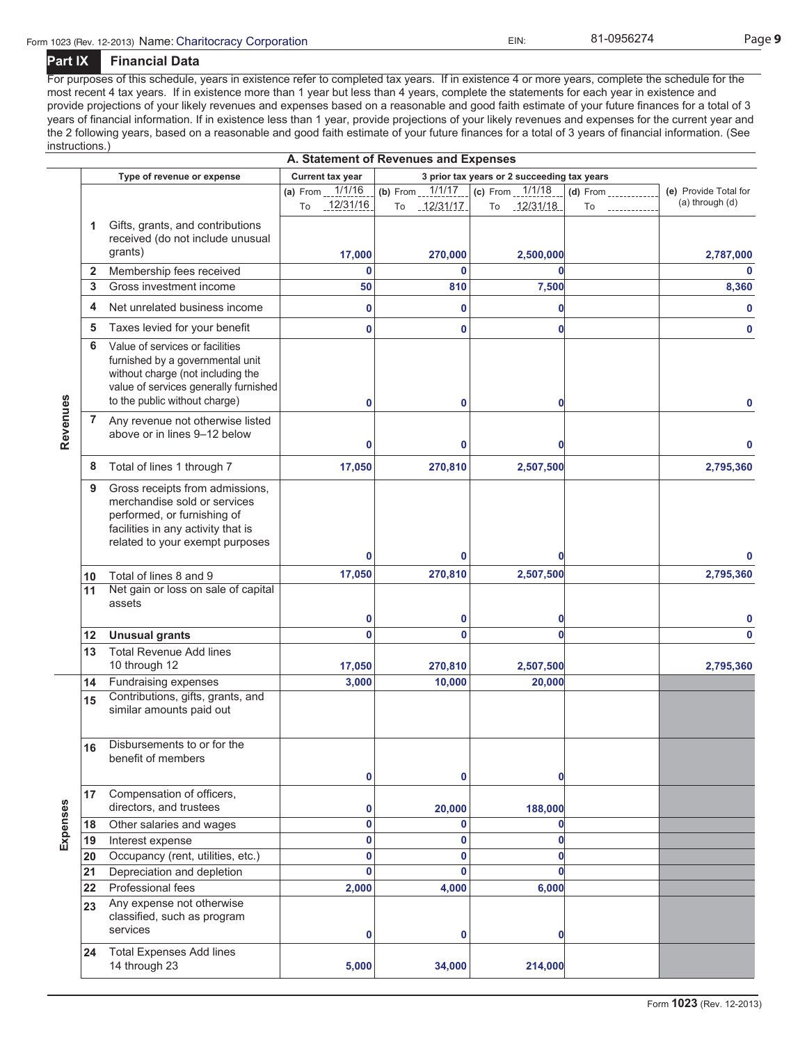For purposes of this schedule, years in existence refer to completed tax years. If in existence 4 or more years, complete the schedule for the most recent 4 tax years. If in existence more than 1 year but less than 4 years, complete the statements for each year in existence and provide projections of your likely revenues and expenses based on a reasonable and good faith estimate of your future finances for a total of 3 years of financial information. If in existence less than 1 year, provide projections of your likely revenues and expenses for the current year and the 2 following years, based on a reasonable and good faith estimate of your future finances for a total of 3 years of financial information. (See instructions.)

|          | A. Statement of Revenues and Expenses |                                                                                                                                                                                    |                                     |                                        |                                             |                                           |                                              |  |  |  |
|----------|---------------------------------------|------------------------------------------------------------------------------------------------------------------------------------------------------------------------------------|-------------------------------------|----------------------------------------|---------------------------------------------|-------------------------------------------|----------------------------------------------|--|--|--|
|          |                                       | Type of revenue or expense                                                                                                                                                         | <b>Current tax year</b>             |                                        | 3 prior tax years or 2 succeeding tax years |                                           |                                              |  |  |  |
|          |                                       |                                                                                                                                                                                    | (a) $From 1/1/16$<br>12/31/16<br>To | (b) $From 1/1/17$<br>$-12/31/17$<br>To | (c) From $1/1/18$<br>12/31/18<br>To         | (d) From $\overline{\phantom{a}}$ .<br>To | (e) Provide Total for<br>$(a)$ through $(d)$ |  |  |  |
|          | 1                                     | Gifts, grants, and contributions<br>received (do not include unusual<br>grants)                                                                                                    | 17,000                              | 270,000                                | 2,500,000                                   |                                           | 2,787,000                                    |  |  |  |
|          | 2                                     | Membership fees received                                                                                                                                                           | 0                                   | $\bf{0}$                               |                                             |                                           | 0                                            |  |  |  |
|          | 3                                     | Gross investment income                                                                                                                                                            | 50                                  | 810                                    | 7,500                                       |                                           | 8,360                                        |  |  |  |
|          | 4                                     | Net unrelated business income                                                                                                                                                      | 0                                   | 0                                      | O                                           |                                           | 0                                            |  |  |  |
|          | 5                                     | Taxes levied for your benefit                                                                                                                                                      | 0                                   | 0                                      | 0                                           |                                           | $\mathbf 0$                                  |  |  |  |
| Revenues | 6                                     | Value of services or facilities<br>furnished by a governmental unit<br>without charge (not including the<br>value of services generally furnished<br>to the public without charge) | 0                                   | 0                                      | $\bf{0}$                                    |                                           | 0                                            |  |  |  |
|          | $\overline{7}$                        | Any revenue not otherwise listed<br>above or in lines 9-12 below                                                                                                                   | 0                                   | 0                                      |                                             |                                           | 0                                            |  |  |  |
|          | 8                                     | Total of lines 1 through 7                                                                                                                                                         | 17,050                              | 270,810                                | 2,507,500                                   |                                           | 2,795,360                                    |  |  |  |
|          | 9                                     | Gross receipts from admissions,<br>merchandise sold or services<br>performed, or furnishing of<br>facilities in any activity that is<br>related to your exempt purposes            | 0                                   | 0                                      |                                             |                                           |                                              |  |  |  |
|          | 10                                    | Total of lines 8 and 9                                                                                                                                                             | 17,050                              | 270,810                                | 2,507,500                                   |                                           | 2,795,360                                    |  |  |  |
|          | 11                                    | Net gain or loss on sale of capital<br>assets                                                                                                                                      |                                     |                                        |                                             |                                           |                                              |  |  |  |
|          |                                       |                                                                                                                                                                                    | 0                                   | 0                                      | 0                                           |                                           | 0                                            |  |  |  |
|          | 12                                    | <b>Unusual grants</b>                                                                                                                                                              | O                                   | $\bf{0}$                               |                                             |                                           | $\bf{0}$                                     |  |  |  |
|          | 13                                    | <b>Total Revenue Add lines</b><br>10 through 12                                                                                                                                    | 17,050                              | 270,810                                | 2,507,500                                   |                                           | 2,795,360                                    |  |  |  |
|          | 14                                    | Fundraising expenses                                                                                                                                                               | 3,000                               | 10,000                                 | 20,000                                      |                                           |                                              |  |  |  |
|          | 15                                    | Contributions, gifts, grants, and<br>similar amounts paid out                                                                                                                      |                                     |                                        |                                             |                                           |                                              |  |  |  |
|          | 16                                    | Disbursements to or for the<br>benefit of members                                                                                                                                  | 0                                   | 0                                      | 0                                           |                                           |                                              |  |  |  |
| Expenses | 17                                    | Compensation of officers,<br>directors, and trustees                                                                                                                               | 0                                   | 20,000                                 | 188,000                                     |                                           |                                              |  |  |  |
|          | 18                                    | Other salaries and wages                                                                                                                                                           | 0                                   | 0                                      |                                             |                                           |                                              |  |  |  |
|          | 19                                    | Interest expense                                                                                                                                                                   | 0                                   | 0                                      | 0                                           |                                           |                                              |  |  |  |
|          | 20                                    | Occupancy (rent, utilities, etc.)                                                                                                                                                  | 0                                   | 0                                      |                                             |                                           |                                              |  |  |  |
|          | 21                                    | Depreciation and depletion                                                                                                                                                         | 0                                   | $\mathbf 0$                            |                                             |                                           |                                              |  |  |  |
|          | 22                                    | Professional fees                                                                                                                                                                  | 2,000                               | 4,000                                  | 6,000                                       |                                           |                                              |  |  |  |
|          | 23                                    | Any expense not otherwise<br>classified, such as program<br>services                                                                                                               |                                     |                                        |                                             |                                           |                                              |  |  |  |
|          |                                       |                                                                                                                                                                                    | 0                                   | 0                                      | O                                           |                                           |                                              |  |  |  |
|          | 24                                    | <b>Total Expenses Add lines</b><br>14 through 23                                                                                                                                   | 5,000                               | 34,000                                 | 214,000                                     |                                           |                                              |  |  |  |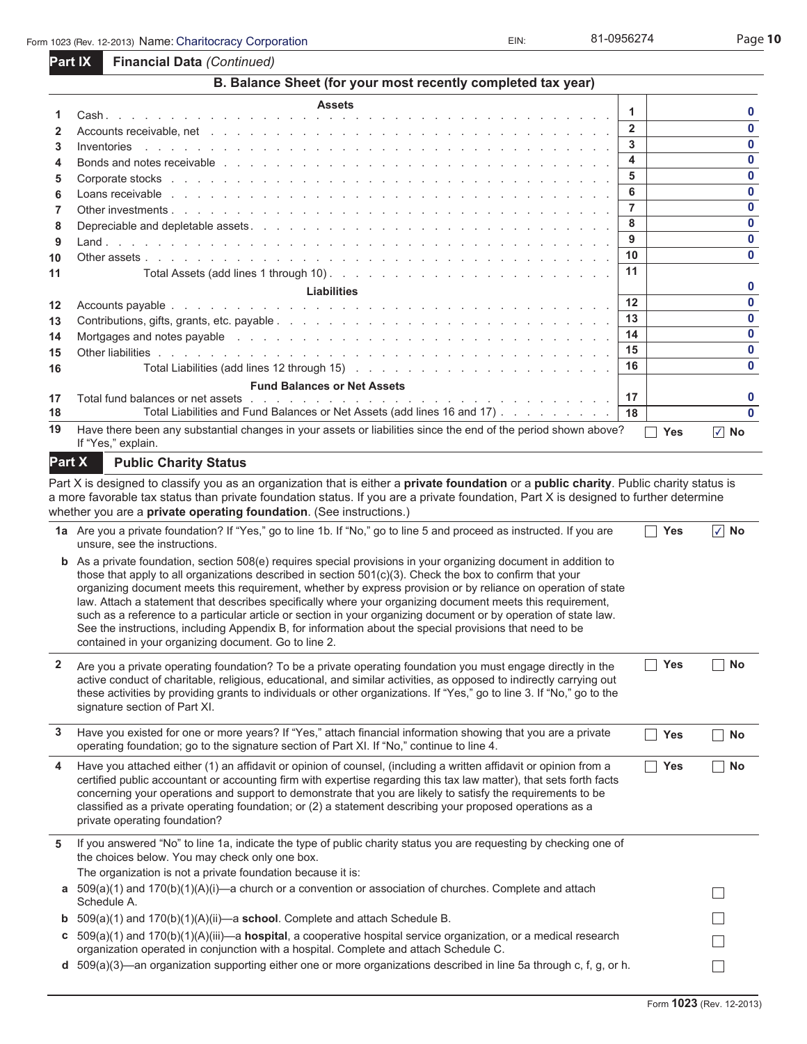**Part IX Financial Data** *(Continued)*

|  |  |  |  | B. Balance Sheet (for your most recently completed tax year) |  |  |  |  |  |  |
|--|--|--|--|--------------------------------------------------------------|--|--|--|--|--|--|
|--|--|--|--|--------------------------------------------------------------|--|--|--|--|--|--|

|                 | <b>Assets</b>                                                                                                                                                                                                                  | $\mathbf{1}$    |                     |
|-----------------|--------------------------------------------------------------------------------------------------------------------------------------------------------------------------------------------------------------------------------|-----------------|---------------------|
|                 |                                                                                                                                                                                                                                |                 |                     |
| 2               | Accounts receivable, net response to the contract of the contract of the contract of the contract of the contract of the contract of the contract of the contract of the contract of the contract of the contract of the contr | $\overline{2}$  |                     |
| 3               |                                                                                                                                                                                                                                | $\mathbf{3}$    |                     |
| 4               | Bonds and notes receivable entering to the contract of the contract of the contract of the contract of the contract of the contract of the contract of the contract of the contract of the contract of the contract of the con | $\overline{4}$  |                     |
| 5.              | Corporate stocks (edge) and a contract of the contract of the contract of the contract of the contract of the contract of the contract of the contract of the contract of the contract of the contract of the contract of the  | 5               |                     |
| 6               | Loans receivable by the contract of the contract of the contract of the contract of the contract of the contract of the contract of the contract of the contract of the contract of the contract of the contract of the contra | 6               |                     |
|                 |                                                                                                                                                                                                                                | $\overline{7}$  |                     |
| 8               |                                                                                                                                                                                                                                | 8               |                     |
| 9               |                                                                                                                                                                                                                                | 9               |                     |
| 10              |                                                                                                                                                                                                                                | 10 <sup>1</sup> |                     |
| 11              |                                                                                                                                                                                                                                | 11              |                     |
|                 |                                                                                                                                                                                                                                |                 |                     |
|                 | Liabilities                                                                                                                                                                                                                    |                 |                     |
| 12 <sup>2</sup> |                                                                                                                                                                                                                                | 12              |                     |
| 13              |                                                                                                                                                                                                                                | 13              |                     |
| 14              | Mortgages and notes payable response to contact the contract of the contract of the contract of the contract of the contract of the contract of the contract of the contract of the contract of the contract of the contract o | 14              |                     |
| 15              |                                                                                                                                                                                                                                | 15              |                     |
| 16              |                                                                                                                                                                                                                                | 16              |                     |
|                 | <b>Fund Balances or Net Assets</b>                                                                                                                                                                                             |                 |                     |
| 17              | Total fund balances or net assets                                                                                                                                                                                              | 17              |                     |
| 18              | Total Liabilities and Fund Balances or Net Assets (add lines 16 and 17) 18                                                                                                                                                     |                 |                     |
| 19              | Have there been any substantial changes in your assets or liabilities since the end of the period shown above?                                                                                                                 |                 | <b>Yes</b><br>l√∣No |
|                 | If "Yes," explain.                                                                                                                                                                                                             |                 |                     |

#### **Public Charity Status Part X**

Part X is designed to classify you as an organization that is either a **private foundation** or a **public charity**. Public charity status is a more favorable tax status than private foundation status. If you are a private foundation, Part X is designed to further determine whether you are a **private operating foundation**. (See instructions.)

|              | 1a Are you a private foundation? If "Yes," go to line 1b. If "No," go to line 5 and proceed as instructed. If you are<br>unsure, see the instructions.                                                                                                                                                                                                                                                                                                                                                                                                                                                                                                                                                                                                          |                              | $\sqrt{}$<br><b>No</b>      |
|--------------|-----------------------------------------------------------------------------------------------------------------------------------------------------------------------------------------------------------------------------------------------------------------------------------------------------------------------------------------------------------------------------------------------------------------------------------------------------------------------------------------------------------------------------------------------------------------------------------------------------------------------------------------------------------------------------------------------------------------------------------------------------------------|------------------------------|-----------------------------|
|              | <b>b</b> As a private foundation, section $508(e)$ requires special provisions in your organizing document in addition to<br>those that apply to all organizations described in section $501(c)(3)$ . Check the box to confirm that your<br>organizing document meets this requirement, whether by express provision or by reliance on operation of state<br>law. Attach a statement that describes specifically where your organizing document meets this requirement,<br>such as a reference to a particular article or section in your organizing document or by operation of state law.<br>See the instructions, including Appendix B, for information about the special provisions that need to be<br>contained in your organizing document. Go to line 2. |                              |                             |
| $\mathbf{2}$ | Are you a private operating foundation? To be a private operating foundation you must engage directly in the<br>active conduct of charitable, religious, educational, and similar activities, as opposed to indirectly carrying out<br>these activities by providing grants to individuals or other organizations. If "Yes," go to line 3. If "No," go to the<br>signature section of Part XI.                                                                                                                                                                                                                                                                                                                                                                  | Yes                          | No                          |
| 3            | Have you existed for one or more years? If "Yes," attach financial information showing that you are a private<br>operating foundation; go to the signature section of Part XI. If "No," continue to line 4.                                                                                                                                                                                                                                                                                                                                                                                                                                                                                                                                                     | <b>Yes</b>                   | <b>No</b><br>$\blacksquare$ |
| 4            | Have you attached either (1) an affidavit or opinion of counsel, (including a written affidavit or opinion from a<br>certified public accountant or accounting firm with expertise regarding this tax law matter), that sets forth facts<br>concerning your operations and support to demonstrate that you are likely to satisfy the requirements to be<br>classified as a private operating foundation; or (2) a statement describing your proposed operations as a<br>private operating foundation?                                                                                                                                                                                                                                                           | <b>Yes</b><br>$\blacksquare$ | <b>No</b>                   |
| 5            | If you answered "No" to line 1a, indicate the type of public charity status you are requesting by checking one of<br>the choices below. You may check only one box.                                                                                                                                                                                                                                                                                                                                                                                                                                                                                                                                                                                             |                              |                             |
|              | The organization is not a private foundation because it is:                                                                                                                                                                                                                                                                                                                                                                                                                                                                                                                                                                                                                                                                                                     |                              |                             |
| a            | $509(a)(1)$ and $170(b)(1)(A)(i)$ —a church or a convention or association of churches. Complete and attach<br>Schedule A.                                                                                                                                                                                                                                                                                                                                                                                                                                                                                                                                                                                                                                      |                              |                             |
| b            | $509(a)(1)$ and $170(b)(1)(A)(ii)$ —a school. Complete and attach Schedule B.                                                                                                                                                                                                                                                                                                                                                                                                                                                                                                                                                                                                                                                                                   |                              |                             |
| c            | $509(a)(1)$ and $170(b)(1)(A)(iii)$ —a <b>hospital</b> , a cooperative hospital service organization, or a medical research<br>organization operated in conjunction with a hospital. Complete and attach Schedule C.                                                                                                                                                                                                                                                                                                                                                                                                                                                                                                                                            |                              |                             |
|              | $d$ 509(a)(3)—an organization supporting either one or more organizations described in line 5a through c, f, g, or h.                                                                                                                                                                                                                                                                                                                                                                                                                                                                                                                                                                                                                                           |                              |                             |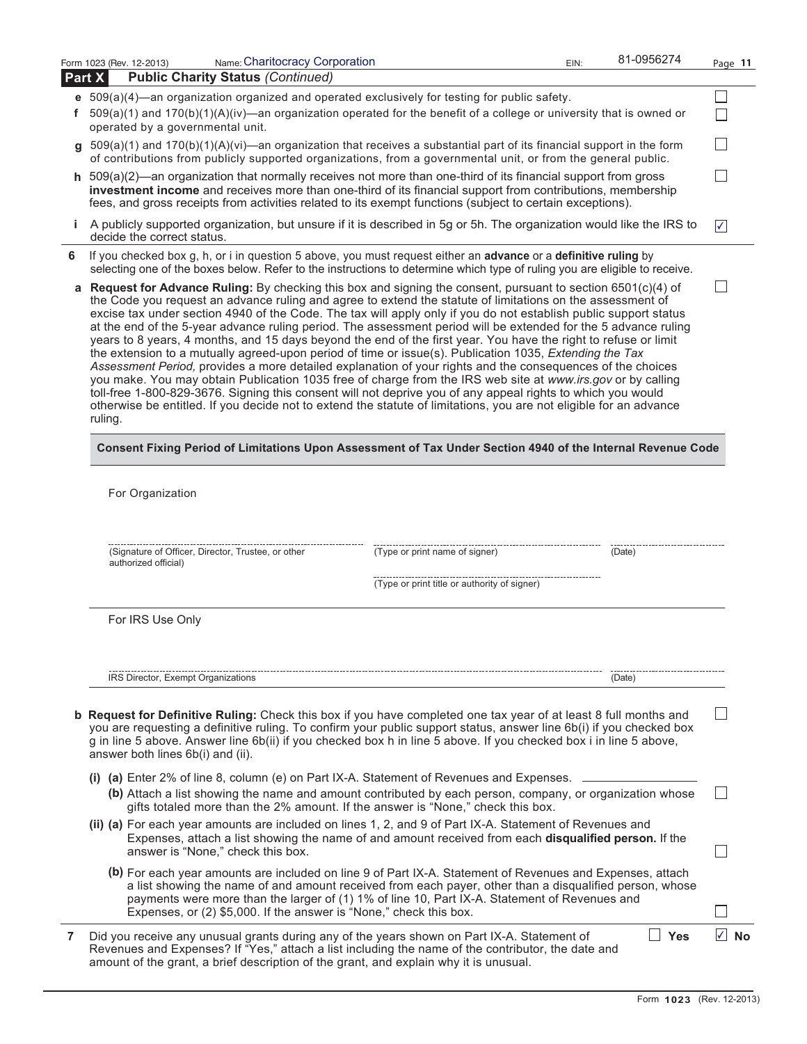|               | Name: Charitocracy Corporation<br>Form 1023 (Rev. 12-2013)                                                                                                                                                                                                                                                                                                                                                                                                                                                                                                                                                                                                                                                                                                                                                                                                                                                                                                                                                                                                                                                                                                                  |                                              | EIN: | 81-0956274 | Page 11                              |
|---------------|-----------------------------------------------------------------------------------------------------------------------------------------------------------------------------------------------------------------------------------------------------------------------------------------------------------------------------------------------------------------------------------------------------------------------------------------------------------------------------------------------------------------------------------------------------------------------------------------------------------------------------------------------------------------------------------------------------------------------------------------------------------------------------------------------------------------------------------------------------------------------------------------------------------------------------------------------------------------------------------------------------------------------------------------------------------------------------------------------------------------------------------------------------------------------------|----------------------------------------------|------|------------|--------------------------------------|
| <b>Part X</b> | <b>Public Charity Status (Continued)</b>                                                                                                                                                                                                                                                                                                                                                                                                                                                                                                                                                                                                                                                                                                                                                                                                                                                                                                                                                                                                                                                                                                                                    |                                              |      |            |                                      |
|               | e 509(a)(4)—an organization organized and operated exclusively for testing for public safety.                                                                                                                                                                                                                                                                                                                                                                                                                                                                                                                                                                                                                                                                                                                                                                                                                                                                                                                                                                                                                                                                               |                                              |      |            |                                      |
| f             | $509(a)(1)$ and $170(b)(1)(A)(iv)$ —an organization operated for the benefit of a college or university that is owned or<br>operated by a governmental unit.                                                                                                                                                                                                                                                                                                                                                                                                                                                                                                                                                                                                                                                                                                                                                                                                                                                                                                                                                                                                                |                                              |      |            |                                      |
| q             | 509(a)(1) and 170(b)(1)(A)(vi)—an organization that receives a substantial part of its financial support in the form<br>of contributions from publicly supported organizations, from a governmental unit, or from the general public.                                                                                                                                                                                                                                                                                                                                                                                                                                                                                                                                                                                                                                                                                                                                                                                                                                                                                                                                       |                                              |      |            |                                      |
|               | h 509(a)(2)—an organization that normally receives not more than one-third of its financial support from gross<br>investment income and receives more than one-third of its financial support from contributions, membership<br>fees, and gross receipts from activities related to its exempt functions (subject to certain exceptions).                                                                                                                                                                                                                                                                                                                                                                                                                                                                                                                                                                                                                                                                                                                                                                                                                                   |                                              |      |            |                                      |
|               | A publicly supported organization, but unsure if it is described in 5g or 5h. The organization would like the IRS to<br>decide the correct status.                                                                                                                                                                                                                                                                                                                                                                                                                                                                                                                                                                                                                                                                                                                                                                                                                                                                                                                                                                                                                          |                                              |      |            | $\checkmark$                         |
| 6             | If you checked box g, h, or i in question 5 above, you must request either an advance or a definitive ruling by<br>selecting one of the boxes below. Refer to the instructions to determine which type of ruling you are eligible to receive.                                                                                                                                                                                                                                                                                                                                                                                                                                                                                                                                                                                                                                                                                                                                                                                                                                                                                                                               |                                              |      |            |                                      |
| a             | Request for Advance Ruling: By checking this box and signing the consent, pursuant to section 6501(c)(4) of<br>the Code you request an advance ruling and agree to extend the statute of limitations on the assessment of<br>excise tax under section 4940 of the Code. The tax will apply only if you do not establish public support status<br>at the end of the 5-year advance ruling period. The assessment period will be extended for the 5 advance ruling<br>years to 8 years, 4 months, and 15 days beyond the end of the first year. You have the right to refuse or limit<br>the extension to a mutually agreed-upon period of time or issue(s). Publication 1035, Extending the Tax<br>Assessment Period, provides a more detailed explanation of your rights and the consequences of the choices<br>you make. You may obtain Publication 1035 free of charge from the IRS web site at www.irs.gov or by calling<br>toll-free 1-800-829-3676. Signing this consent will not deprive you of any appeal rights to which you would<br>otherwise be entitled. If you decide not to extend the statute of limitations, you are not eligible for an advance<br>ruling. |                                              |      |            |                                      |
|               | (Signature of Officer, Director, Trustee, or other<br>authorized official)                                                                                                                                                                                                                                                                                                                                                                                                                                                                                                                                                                                                                                                                                                                                                                                                                                                                                                                                                                                                                                                                                                  | (Type or print name of signer)               |      | (Date)     |                                      |
|               |                                                                                                                                                                                                                                                                                                                                                                                                                                                                                                                                                                                                                                                                                                                                                                                                                                                                                                                                                                                                                                                                                                                                                                             | (Type or print title or authority of signer) |      |            |                                      |
|               | For IRS Use Only                                                                                                                                                                                                                                                                                                                                                                                                                                                                                                                                                                                                                                                                                                                                                                                                                                                                                                                                                                                                                                                                                                                                                            |                                              |      |            |                                      |
|               | IRS Director, Exempt Organizations                                                                                                                                                                                                                                                                                                                                                                                                                                                                                                                                                                                                                                                                                                                                                                                                                                                                                                                                                                                                                                                                                                                                          |                                              |      | (Date)     |                                      |
|               | <b>b Request for Definitive Ruling:</b> Check this box if you have completed one tax year of at least 8 full months and<br>you are requesting a definitive ruling. To confirm your public support status, answer line 6b(i) if you checked box<br>g in line 5 above. Answer line 6b(ii) if you checked box h in line 5 above. If you checked box i in line 5 above,<br>answer both lines 6b(i) and (ii).                                                                                                                                                                                                                                                                                                                                                                                                                                                                                                                                                                                                                                                                                                                                                                    |                                              |      |            |                                      |
|               | (i) (a) Enter 2% of line 8, column (e) on Part IX-A. Statement of Revenues and Expenses.<br>(b) Attach a list showing the name and amount contributed by each person, company, or organization whose                                                                                                                                                                                                                                                                                                                                                                                                                                                                                                                                                                                                                                                                                                                                                                                                                                                                                                                                                                        |                                              |      |            |                                      |
|               | gifts totaled more than the 2% amount. If the answer is "None," check this box.<br>(ii) (a) For each year amounts are included on lines 1, 2, and 9 of Part IX-A. Statement of Revenues and<br>Expenses, attach a list showing the name of and amount received from each disqualified person. If the<br>answer is "None," check this box.                                                                                                                                                                                                                                                                                                                                                                                                                                                                                                                                                                                                                                                                                                                                                                                                                                   |                                              |      |            |                                      |
|               | (b) For each year amounts are included on line 9 of Part IX-A. Statement of Revenues and Expenses, attach<br>a list showing the name of and amount received from each payer, other than a disqualified person, whose<br>payments were more than the larger of (1) 1% of line 10, Part IX-A. Statement of Revenues and<br>Expenses, or (2) \$5,000. If the answer is "None," check this box.                                                                                                                                                                                                                                                                                                                                                                                                                                                                                                                                                                                                                                                                                                                                                                                 |                                              |      |            |                                      |
| 7             | Did you receive any unusual grants during any of the years shown on Part IX-A. Statement of<br>Revenues and Expenses? If "Yes," attach a list including the name of the contributor, the date and<br>amount of the grant, a brief description of the grant, and explain why it is unusual.                                                                                                                                                                                                                                                                                                                                                                                                                                                                                                                                                                                                                                                                                                                                                                                                                                                                                  |                                              |      | Yes        | $\vert\mathcal{N}\vert$<br><b>No</b> |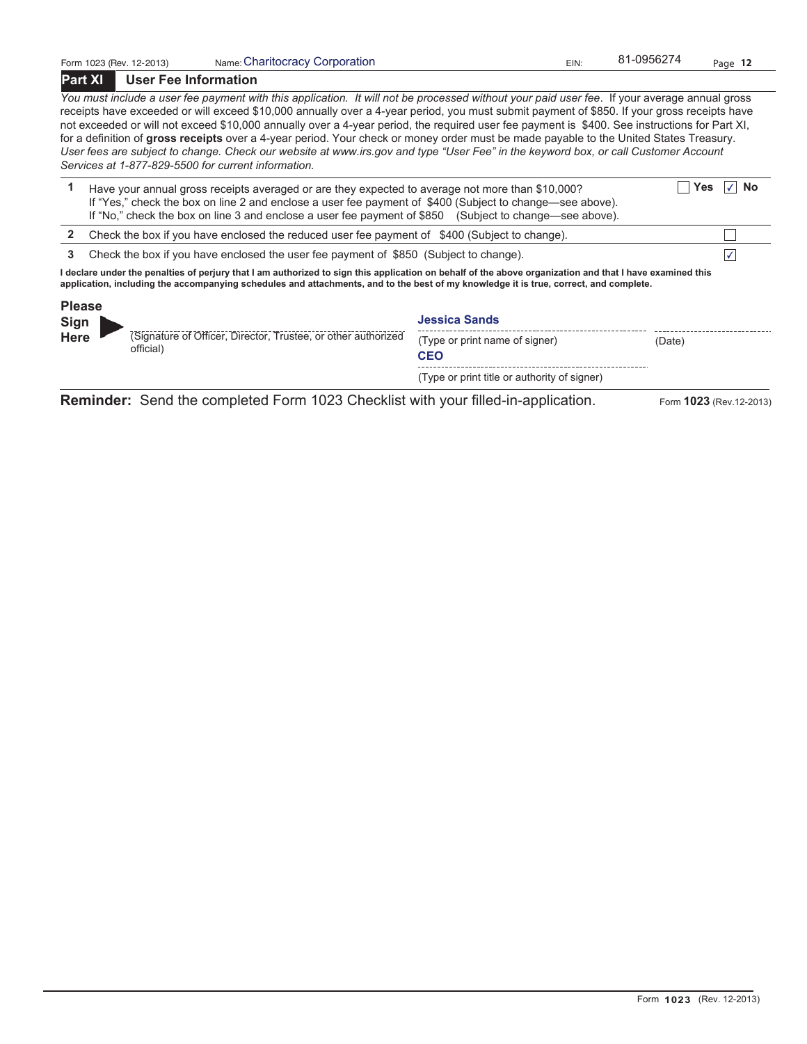|                                                                                                                                                                                                                                                                                                                                                                                                                                                                                                                                                                                                                                                                                                                                                                                     |                                                                                                                                                                                                                                                                                                                                             | Form 1023 (Rev. 12-2013)    | Name: Charitocracy Corporation                                |                                              | EIN: | 81-0956274 | Page 12 |
|-------------------------------------------------------------------------------------------------------------------------------------------------------------------------------------------------------------------------------------------------------------------------------------------------------------------------------------------------------------------------------------------------------------------------------------------------------------------------------------------------------------------------------------------------------------------------------------------------------------------------------------------------------------------------------------------------------------------------------------------------------------------------------------|---------------------------------------------------------------------------------------------------------------------------------------------------------------------------------------------------------------------------------------------------------------------------------------------------------------------------------------------|-----------------------------|---------------------------------------------------------------|----------------------------------------------|------|------------|---------|
| <b>Part XI</b>                                                                                                                                                                                                                                                                                                                                                                                                                                                                                                                                                                                                                                                                                                                                                                      |                                                                                                                                                                                                                                                                                                                                             | <b>User Fee Information</b> |                                                               |                                              |      |            |         |
| You must include a user fee payment with this application. It will not be processed without your paid user fee. If your average annual gross<br>receipts have exceeded or will exceed \$10,000 annually over a 4-year period, you must submit payment of \$850. If your gross receipts have<br>not exceeded or will not exceed \$10,000 annually over a 4-year period, the required user fee payment is \$400. See instructions for Part XI,<br>for a definition of gross receipts over a 4-year period. Your check or money order must be made payable to the United States Treasury.<br>User fees are subject to change. Check our website at www.irs.gov and type "User Fee" in the keyword box, or call Customer Account<br>Services at 1-877-829-5500 for current information. |                                                                                                                                                                                                                                                                                                                                             |                             |                                                               |                                              |      |            |         |
| 1                                                                                                                                                                                                                                                                                                                                                                                                                                                                                                                                                                                                                                                                                                                                                                                   | <b>No</b><br>Yes<br>Have your annual gross receipts averaged or are they expected to average not more than \$10,000?<br>If "Yes," check the box on line 2 and enclose a user fee payment of \$400 (Subject to change—see above).<br>If "No," check the box on line 3 and enclose a user fee payment of \$850 (Subject to change—see above). |                             |                                                               |                                              |      |            |         |
| $\mathbf{2}$                                                                                                                                                                                                                                                                                                                                                                                                                                                                                                                                                                                                                                                                                                                                                                        | Check the box if you have enclosed the reduced user fee payment of \$400 (Subject to change).                                                                                                                                                                                                                                               |                             |                                                               |                                              |      |            |         |
| 3                                                                                                                                                                                                                                                                                                                                                                                                                                                                                                                                                                                                                                                                                                                                                                                   | Check the box if you have enclosed the user fee payment of \$850 (Subject to change).                                                                                                                                                                                                                                                       |                             |                                                               |                                              | ∣√   |            |         |
| I declare under the penalties of perjury that I am authorized to sign this application on behalf of the above organization and that I have examined this<br>application, including the accompanying schedules and attachments, and to the best of my knowledge it is true, correct, and complete.                                                                                                                                                                                                                                                                                                                                                                                                                                                                                   |                                                                                                                                                                                                                                                                                                                                             |                             |                                                               |                                              |      |            |         |
| <b>Please</b><br><b>Sign</b>                                                                                                                                                                                                                                                                                                                                                                                                                                                                                                                                                                                                                                                                                                                                                        |                                                                                                                                                                                                                                                                                                                                             |                             | <b>Jessica Sands</b>                                          |                                              |      |            |         |
| <b>Here</b>                                                                                                                                                                                                                                                                                                                                                                                                                                                                                                                                                                                                                                                                                                                                                                         |                                                                                                                                                                                                                                                                                                                                             | official)                   | (Signature of Officer, Director, Trustee, or other authorized | (Type or print name of signer)<br><b>CEO</b> |      | (Date)     |         |
|                                                                                                                                                                                                                                                                                                                                                                                                                                                                                                                                                                                                                                                                                                                                                                                     |                                                                                                                                                                                                                                                                                                                                             |                             |                                                               | (Type or print title or authority of signer) |      |            |         |

**Reminder:** Send the completed Form 1023 Checklist with your filled-in-application. Form 1023 (Rev.12-2013)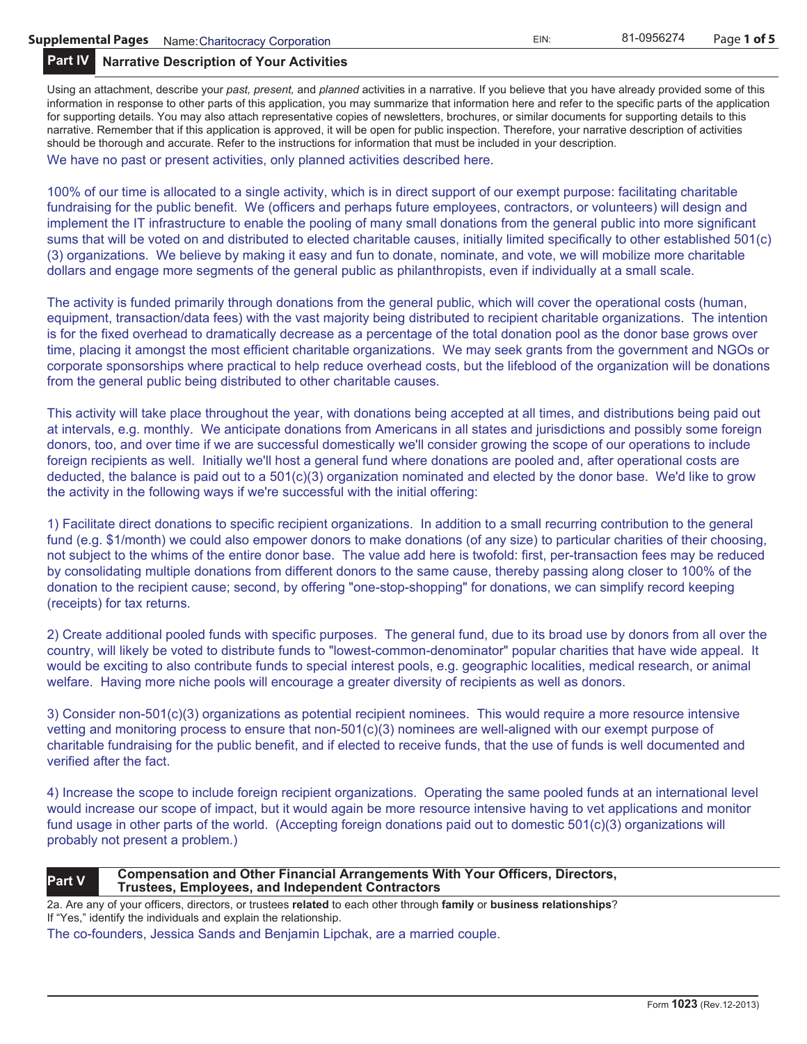# **Part IV Narrative Description of Your Activities**

Using an attachment, describe your *past, present,* and *planned* activities in a narrative. If you believe that you have already provided some of this information in response to other parts of this application, you may summarize that information here and refer to the specific parts of the application for supporting details. You may also attach representative copies of newsletters, brochures, or similar documents for supporting details to this narrative. Remember that if this application is approved, it will be open for public inspection. Therefore, your narrative description of activities should be thorough and accurate. Refer to the instructions for information that must be included in your description.

We have no past or present activities, only planned activities described here.

100% of our time is allocated to a single activity, which is in direct support of our exempt purpose: facilitating charitable fundraising for the public benefit. We (officers and perhaps future employees, contractors, or volunteers) will design and implement the IT infrastructure to enable the pooling of many small donations from the general public into more significant sums that will be voted on and distributed to elected charitable causes, initially limited specifically to other established 501(c) (3) organizations. We believe by making it easy and fun to donate, nominate, and vote, we will mobilize more charitable dollars and engage more segments of the general public as philanthropists, even if individually at a small scale.

The activity is funded primarily through donations from the general public, which will cover the operational costs (human, equipment, transaction/data fees) with the vast majority being distributed to recipient charitable organizations. The intention is for the fixed overhead to dramatically decrease as a percentage of the total donation pool as the donor base grows over time, placing it amongst the most efficient charitable organizations. We may seek grants from the government and NGOs or corporate sponsorships where practical to help reduce overhead costs, but the lifeblood of the organization will be donations from the general public being distributed to other charitable causes.

This activity will take place throughout the year, with donations being accepted at all times, and distributions being paid out at intervals, e.g. monthly. We anticipate donations from Americans in all states and jurisdictions and possibly some foreign donors, too, and over time if we are successful domestically we'll consider growing the scope of our operations to include foreign recipients as well. Initially we'll host a general fund where donations are pooled and, after operational costs are deducted, the balance is paid out to a  $501(c)(3)$  organization nominated and elected by the donor base. We'd like to grow the activity in the following ways if we're successful with the initial offering:

1) Facilitate direct donations to specific recipient organizations. In addition to a small recurring contribution to the general fund (e.g. \$1/month) we could also empower donors to make donations (of any size) to particular charities of their choosing, not subject to the whims of the entire donor base. The value add here is twofold: first, per-transaction fees may be reduced by consolidating multiple donations from different donors to the same cause, thereby passing along closer to 100% of the donation to the recipient cause; second, by offering "one-stop-shopping" for donations, we can simplify record keeping (receipts) for tax returns.

2) Create additional pooled funds with specific purposes. The general fund, due to its broad use by donors from all over the country, will likely be voted to distribute funds to "lowest-common-denominator" popular charities that have wide appeal. It would be exciting to also contribute funds to special interest pools, e.g. geographic localities, medical research, or animal welfare. Having more niche pools will encourage a greater diversity of recipients as well as donors.

3) Consider non-501(c)(3) organizations as potential recipient nominees. This would require a more resource intensive vetting and monitoring process to ensure that non-501(c)(3) nominees are well-aligned with our exempt purpose of charitable fundraising for the public benefit, and if elected to receive funds, that the use of funds is well documented and verified after the fact.

4) Increase the scope to include foreign recipient organizations. Operating the same pooled funds at an international level would increase our scope of impact, but it would again be more resource intensive having to vet applications and monitor fund usage in other parts of the world. (Accepting foreign donations paid out to domestic 501(c)(3) organizations will probably not present a problem.)

### **Part V Compensation and Other Financial Arrangements With Your Officers, Directors, <br>
Figures 2.5 Temployees and Independent Contractors. Trustees, Employees, and Independent Contractors**

2a. Are any of your officers, directors, or trustees **related** to each other through **family** or **business relationships**? If "Yes," identify the individuals and explain the relationship.

The co-founders, Jessica Sands and Benjamin Lipchak, are a married couple.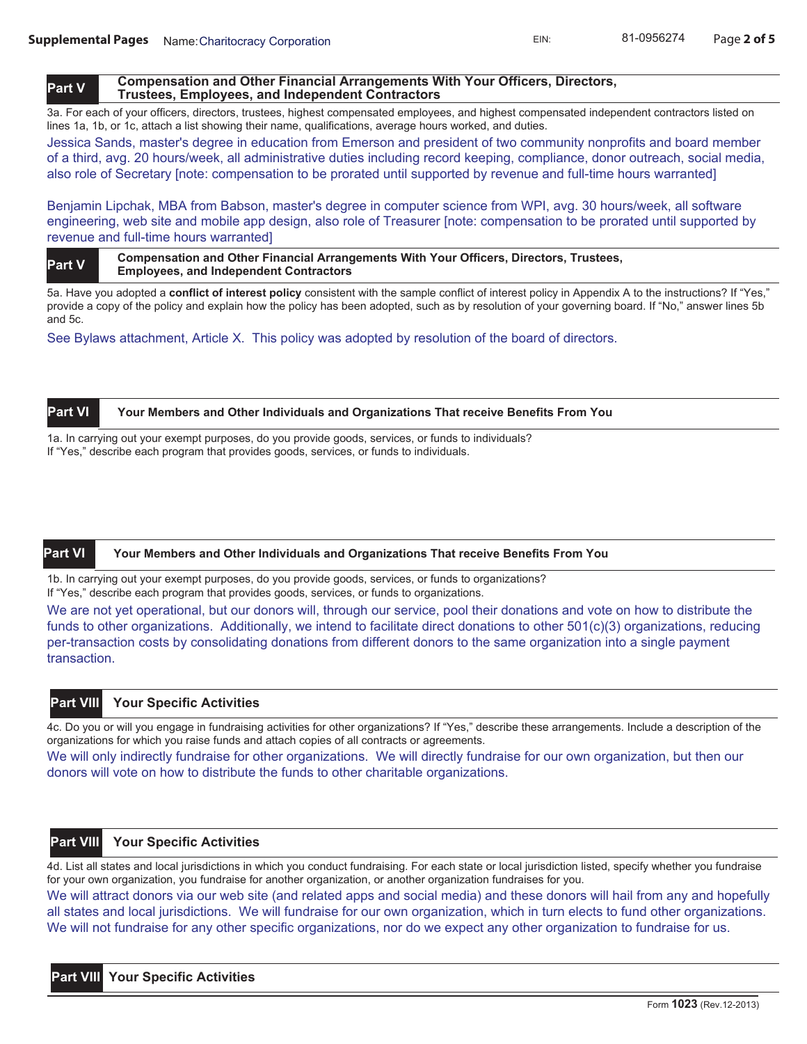# **Part V Compensation and Other Financial Arrangements With Your Officers, Directors,** <br> **Part V Trustees, Employees, and Independent Contractors Trustees, Employees, and Independent Contractors**

3a. For each of your officers, directors, trustees, highest compensated employees, and highest compensated independent contractors listed on lines 1a, 1b, or 1c, attach a list showing their name, qualifications, average hours worked, and duties.

Jessica Sands, master's degree in education from Emerson and president of two community nonprofits and board member of a third, avg. 20 hours/week, all administrative duties including record keeping, compliance, donor outreach, social media, also role of Secretary [note: compensation to be prorated until supported by revenue and full-time hours warranted]

Benjamin Lipchak, MBA from Babson, master's degree in computer science from WPI, avg. 30 hours/week, all software engineering, web site and mobile app design, also role of Treasurer [note: compensation to be prorated until supported by revenue and full-time hours warranted]

**Part V Compensation and Other Financial Arrangements With Your Officers, Directors, Trustees,** <br> **Part V Compensation and Independent Contractors Employees, and Independent Contractors**

5a. Have you adopted a **conflict of interest policy** consistent with the sample conflict of interest policy in Appendix A to the instructions? If "Yes," provide a copy of the policy and explain how the policy has been adopted, such as by resolution of your governing board. If "No," answer lines 5b and 5c.

See Bylaws attachment, Article X. This policy was adopted by resolution of the board of directors.

#### **Part VI Your Members and Other Individuals and Organizations That receive Benefits From You**

1a. In carrying out your exempt purposes, do you provide goods, services, or funds to individuals? If "Yes," describe each program that provides goods, services, or funds to individuals.

#### **Part VI Your Members and Other Individuals and Organizations That receive Benefits From You**

1b. In carrying out your exempt purposes, do you provide goods, services, or funds to organizations? If "Yes," describe each program that provides goods, services, or funds to organizations.

We are not yet operational, but our donors will, through our service, pool their donations and vote on how to distribute the funds to other organizations. Additionally, we intend to facilitate direct donations to other 501(c)(3) organizations, reducing per-transaction costs by consolidating donations from different donors to the same organization into a single payment transaction.

# **Part VIII Your Specific Activities**

4c. Do you or will you engage in fundraising activities for other organizations? If "Yes," describe these arrangements. Include a description of the organizations for which you raise funds and attach copies of all contracts or agreements.

We will only indirectly fundraise for other organizations. We will directly fundraise for our own organization, but then our donors will vote on how to distribute the funds to other charitable organizations.

# **Part VIII Your Specific Activities**

4d. List all states and local jurisdictions in which you conduct fundraising. For each state or local jurisdiction listed, specify whether you fundraise for your own organization, you fundraise for another organization, or another organization fundraises for you.

We will attract donors via our web site (and related apps and social media) and these donors will hail from any and hopefully all states and local jurisdictions. We will fundraise for our own organization, which in turn elects to fund other organizations. We will not fundraise for any other specific organizations, nor do we expect any other organization to fundraise for us.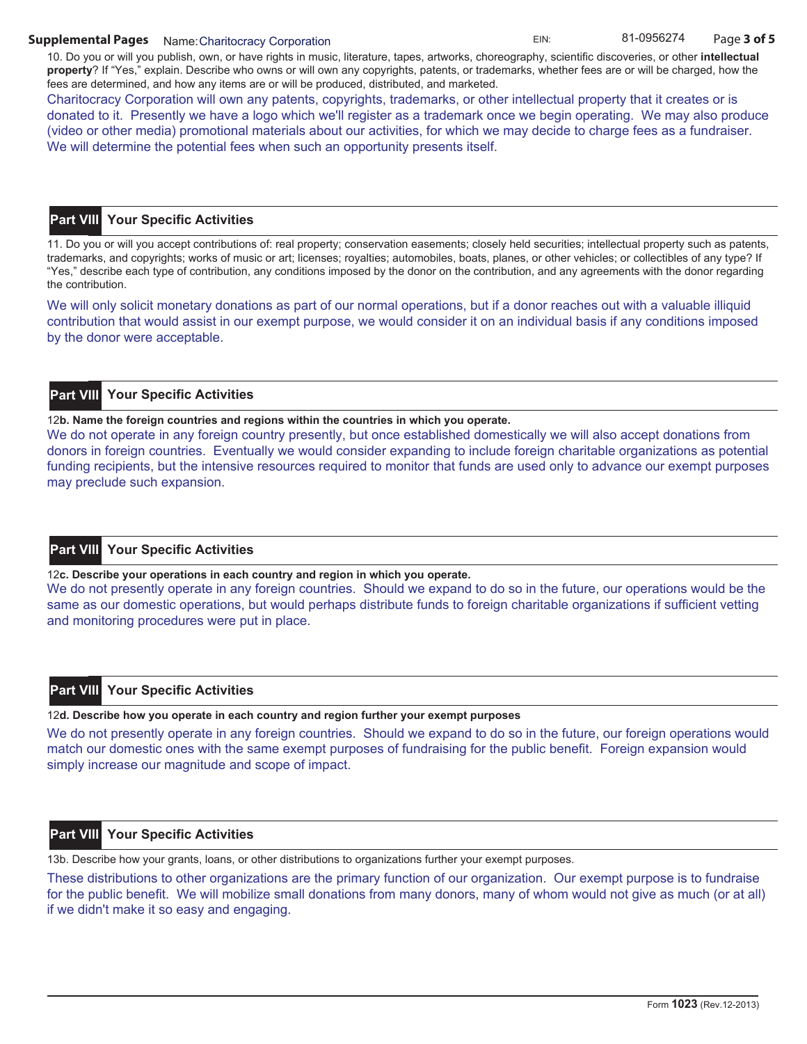#### **Supplemental Pages** Name:Charitocracy Corporation

EIN: 81-0956274 Page **3 of 5**

10. Do you or will you publish, own, or have rights in music, literature, tapes, artworks, choreography, scientific discoveries, or other **intellectual property**? If "Yes," explain. Describe who owns or will own any copyrights, patents, or trademarks, whether fees are or will be charged, how the fees are determined, and how any items are or will be produced, distributed, and marketed.

Charitocracy Corporation will own any patents, copyrights, trademarks, or other intellectual property that it creates or is donated to it. Presently we have a logo which we'll register as a trademark once we begin operating. We may also produce (video or other media) promotional materials about our activities, for which we may decide to charge fees as a fundraiser. We will determine the potential fees when such an opportunity presents itself.

# **Part VIII Your Specific Activities**

11. Do you or will you accept contributions of: real property; conservation easements; closely held securities; intellectual property such as patents, trademarks, and copyrights; works of music or art; licenses; royalties; automobiles, boats, planes, or other vehicles; or collectibles of any type? If "Yes," describe each type of contribution, any conditions imposed by the donor on the contribution, and any agreements with the donor regarding the contribution.

We will only solicit monetary donations as part of our normal operations, but if a donor reaches out with a valuable illiquid contribution that would assist in our exempt purpose, we would consider it on an individual basis if any conditions imposed by the donor were acceptable.

# **Part VIII Your Specific Activities**

## 12**b. Name the foreign countries and regions within the countries in which you operate.**

We do not operate in any foreign country presently, but once established domestically we will also accept donations from donors in foreign countries. Eventually we would consider expanding to include foreign charitable organizations as potential funding recipients, but the intensive resources required to monitor that funds are used only to advance our exempt purposes may preclude such expansion.

# **Part VIII Your Specific Activities**

#### 12**c. Describe your operations in each country and region in which you operate.**

We do not presently operate in any foreign countries. Should we expand to do so in the future, our operations would be the same as our domestic operations, but would perhaps distribute funds to foreign charitable organizations if sufficient vetting and monitoring procedures were put in place.

# **Part VIII Your Specific Activities**

12**d. Describe how you operate in each country and region further your exempt purposes**

We do not presently operate in any foreign countries. Should we expand to do so in the future, our foreign operations would match our domestic ones with the same exempt purposes of fundraising for the public benefit. Foreign expansion would simply increase our magnitude and scope of impact.

# **Part VIII Your Specific Activities**

13b. Describe how your grants, loans, or other distributions to organizations further your exempt purposes.

These distributions to other organizations are the primary function of our organization. Our exempt purpose is to fundraise for the public benefit. We will mobilize small donations from many donors, many of whom would not give as much (or at all) if we didn't make it so easy and engaging.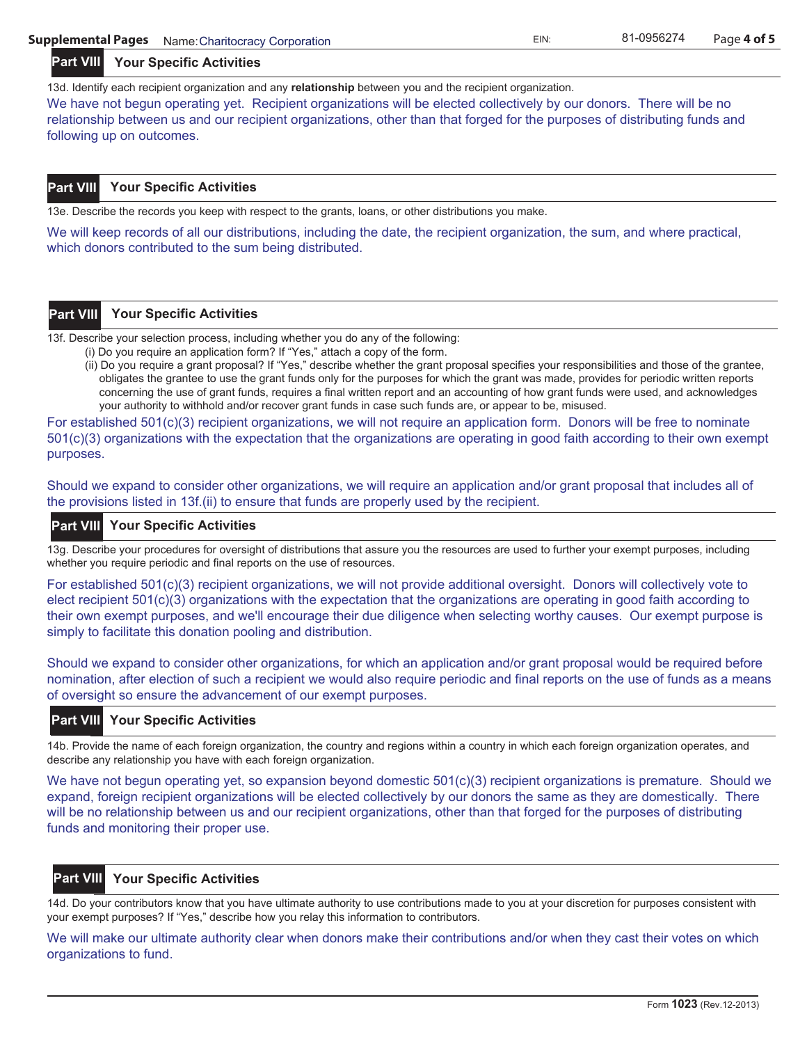# **Part VIII Your Specific Activities**

13d. Identify each recipient organization and any **relationship** between you and the recipient organization.

We have not begun operating yet. Recipient organizations will be elected collectively by our donors. There will be no relationship between us and our recipient organizations, other than that forged for the purposes of distributing funds and following up on outcomes.

#### **Part VIII Your Specific Activities**

13e. Describe the records you keep with respect to the grants, loans, or other distributions you make.

We will keep records of all our distributions, including the date, the recipient organization, the sum, and where practical, which donors contributed to the sum being distributed.

#### **Part VIII Your Specific Activities**

13f. Describe your selection process, including whether you do any of the following:

- (i) Do you require an application form? If "Yes," attach a copy of the form.
- (ii) Do you require a grant proposal? If "Yes," describe whether the grant proposal specifies your responsibilities and those of the grantee, obligates the grantee to use the grant funds only for the purposes for which the grant was made, provides for periodic written reports concerning the use of grant funds, requires a final written report and an accounting of how grant funds were used, and acknowledges your authority to withhold and/or recover grant funds in case such funds are, or appear to be, misused.

For established 501(c)(3) recipient organizations, we will not require an application form. Donors will be free to nominate 501(c)(3) organizations with the expectation that the organizations are operating in good faith according to their own exempt purposes.

Should we expand to consider other organizations, we will require an application and/or grant proposal that includes all of the provisions listed in 13f.(ii) to ensure that funds are properly used by the recipient.

## **Part VIII Your Specific Activities**

13g. Describe your procedures for oversight of distributions that assure you the resources are used to further your exempt purposes, including whether you require periodic and final reports on the use of resources.

For established 501(c)(3) recipient organizations, we will not provide additional oversight. Donors will collectively vote to elect recipient 501(c)(3) organizations with the expectation that the organizations are operating in good faith according to their own exempt purposes, and we'll encourage their due diligence when selecting worthy causes. Our exempt purpose is simply to facilitate this donation pooling and distribution.

Should we expand to consider other organizations, for which an application and/or grant proposal would be required before nomination, after election of such a recipient we would also require periodic and final reports on the use of funds as a means of oversight so ensure the advancement of our exempt purposes.

## **Part VIII Part VIII Your Specific Activities**

14b. Provide the name of each foreign organization, the country and regions within a country in which each foreign organization operates, and describe any relationship you have with each foreign organization.

We have not begun operating yet, so expansion beyond domestic 501(c)(3) recipient organizations is premature. Should we expand, foreign recipient organizations will be elected collectively by our donors the same as they are domestically. There will be no relationship between us and our recipient organizations, other than that forged for the purposes of distributing funds and monitoring their proper use.

# **Part VIII Your Specific Activities**

14d. Do your contributors know that you have ultimate authority to use contributions made to you at your discretion for purposes consistent with your exempt purposes? If "Yes," describe how you relay this information to contributors.

We will make our ultimate authority clear when donors make their contributions and/or when they cast their votes on which organizations to fund.